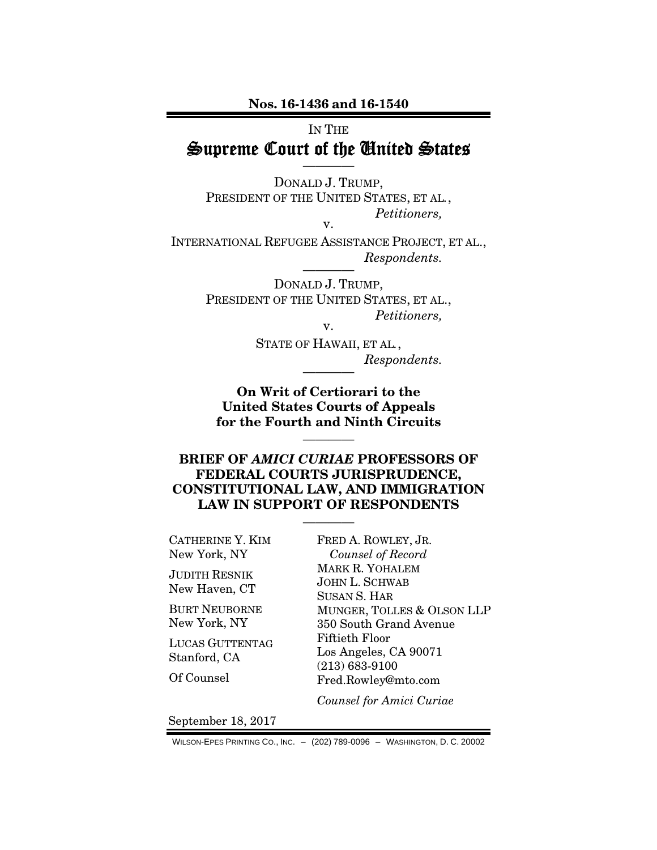Nos. 16-1436 and 16-1540

# IN THE Supreme Court of the United States

————

DONALD J. TRUMP, PRESIDENT OF THE UNITED STATES, ET AL*.*, *Petitioners,* 

INTERNATIONAL REFUGEE ASSISTANCE PROJECT, ET AL.,  $Respondents.$ 

v.

DONALD J. TRUMP, PRESIDENT OF THE UNITED STATES, ET AL., *Petitioners,*  v.

> STATE OF HAWAII, ET AL*.*,  $Respondents.$

On Writ of Certiorari to the United States Courts of Appeals for the Fourth and Ninth Circuits

————

## BRIEF OF *AMICI CURIAE* PROFESSORS OF FEDERAL COURTS JURISPRUDENCE, CONSTITUTIONAL LAW, AND IMMIGRATION LAW IN SUPPORT OF RESPONDENTS

————

CATHERINE Y. KIM New York, NY

JUDITH RESNIK New Haven, CT

BURT NEUBORNE New York, NY

LUCAS GUTTENTAG Stanford, CA

Of Counsel

FRED A. ROWLEY, JR. *Counsel of Record*  MARK R. YOHALEM JOHN L. SCHWAB SUSAN S. HAR MUNGER, TOLLES & OLSON LLP 350 South Grand Avenue Fiftieth Floor Los Angeles, CA 90071 (213) 683-9100 Fred.Rowley@mto.com

*Counsel for Amici Curiae*

September 18, 2017

WILSON-EPES PRINTING CO., INC. – (202) 789-0096 – WASHINGTON, D. C. 20002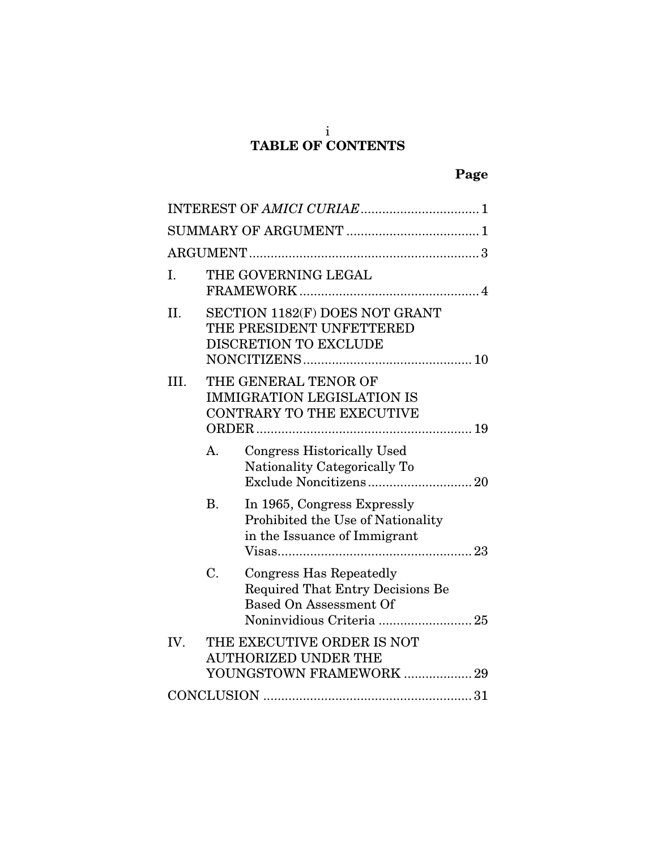#### i TABLE OF CONTENTS

| Ι.   |                                                                                               | THE GOVERNING LEGAL                                                                                 |  |  |
|------|-----------------------------------------------------------------------------------------------|-----------------------------------------------------------------------------------------------------|--|--|
| II.  |                                                                                               | SECTION 1182(F) DOES NOT GRANT<br>THE PRESIDENT UNFETTERED<br><b>DISCRETION TO EXCLUDE</b>          |  |  |
| III. | THE GENERAL TENOR OF<br><b>IMMIGRATION LEGISLATION IS</b><br><b>CONTRARY TO THE EXECUTIVE</b> |                                                                                                     |  |  |
|      | A <sub>1</sub>                                                                                | <b>Congress Historically Used</b><br>Nationality Categorically To                                   |  |  |
|      | <b>B.</b>                                                                                     | In 1965, Congress Expressly<br>Prohibited the Use of Nationality<br>in the Issuance of Immigrant    |  |  |
|      | C.                                                                                            | Congress Has Repeatedly<br><b>Required That Entry Decisions Be</b><br><b>Based On Assessment Of</b> |  |  |
| IV.  |                                                                                               | THE EXECUTIVE ORDER IS NOT<br><b>AUTHORIZED UNDER THE</b><br>YOUNGSTOWN FRAMEWORK  29               |  |  |
|      |                                                                                               |                                                                                                     |  |  |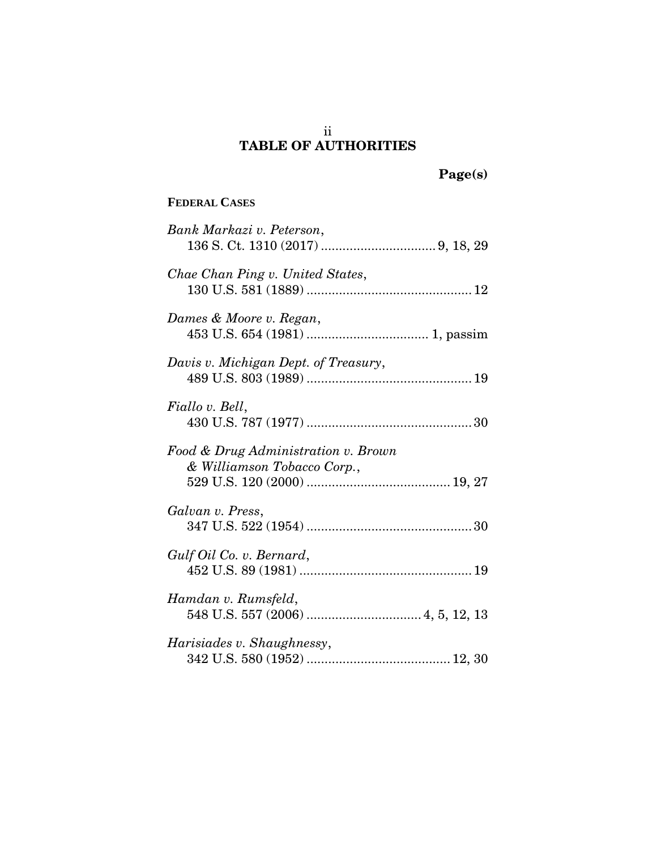## ii TABLE OF AUTHORITIES

Page(s)

# **FEDERAL CASES**

| Bank Markazi v. Peterson,                                          |
|--------------------------------------------------------------------|
| Chae Chan Ping v. United States,                                   |
| Dames & Moore v. Regan,                                            |
| Davis v. Michigan Dept. of Treasury,                               |
| Fiallo v. Bell,                                                    |
| Food & Drug Administration v. Brown<br>& Williamson Tobacco Corp., |
| Galvan v. Press,                                                   |
| Gulf Oil Co. v. Bernard,                                           |
| Hamdan v. Rumsfeld,                                                |
| Harisiades v. Shaughnessy,                                         |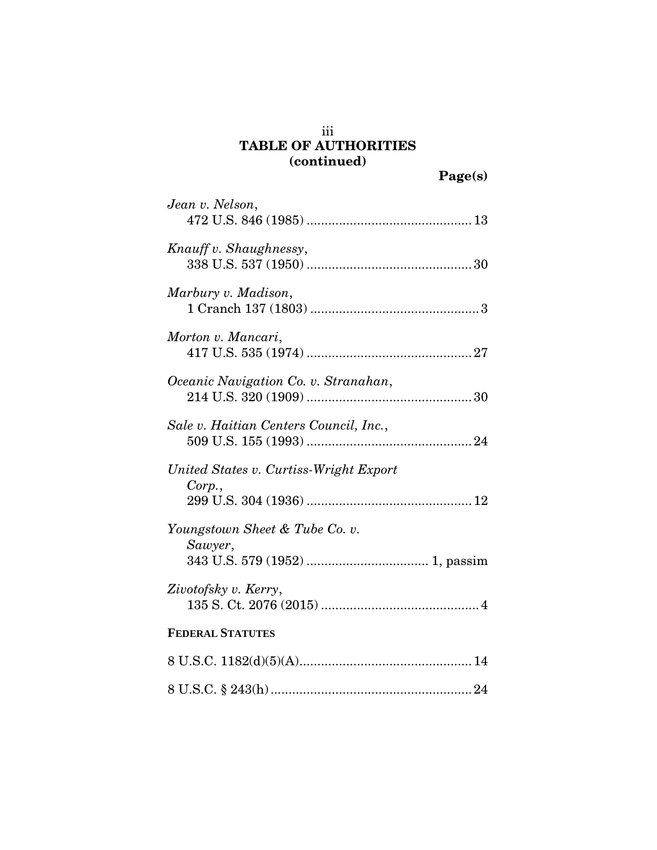# iii TABLE OF AUTHORITIES (continued)

| Jean v. Nelson,                                 |
|-------------------------------------------------|
| Knauff v. Shaughnessy,                          |
| Marbury v. Madison,                             |
| Morton v. Mancari,                              |
| Oceanic Navigation Co. v. Stranahan,            |
| Sale v. Haitian Centers Council, Inc.,          |
| United States v. Curtiss-Wright Export<br>Corp. |
| Youngstown Sheet & Tube Co. v.<br>Sawyer,       |
| Zivotofsky v. Kerry,                            |
| <b>FEDERAL STATUTES</b>                         |
|                                                 |
|                                                 |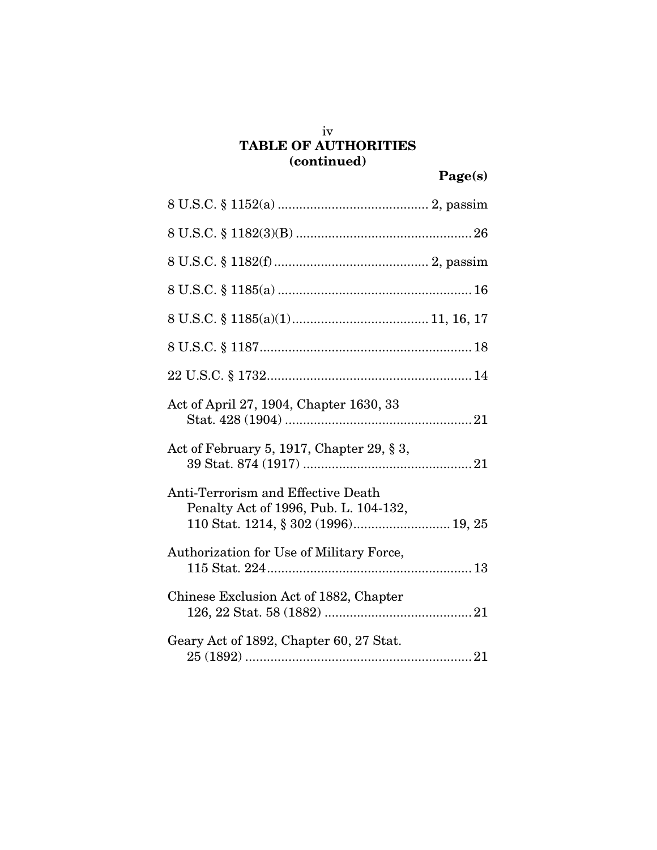# TABLE OF AUTHORITIES (continued)

| Act of April 27, 1904, Chapter 1630, 33                                                                            |
|--------------------------------------------------------------------------------------------------------------------|
| Act of February 5, 1917, Chapter 29, $\S 3$ ,                                                                      |
| Anti-Terrorism and Effective Death<br>Penalty Act of 1996, Pub. L. 104-132,<br>110 Stat. 1214, § 302 (1996) 19, 25 |
| Authorization for Use of Military Force,                                                                           |
| Chinese Exclusion Act of 1882, Chapter                                                                             |
| Geary Act of 1892, Chapter 60, 27 Stat.                                                                            |

iv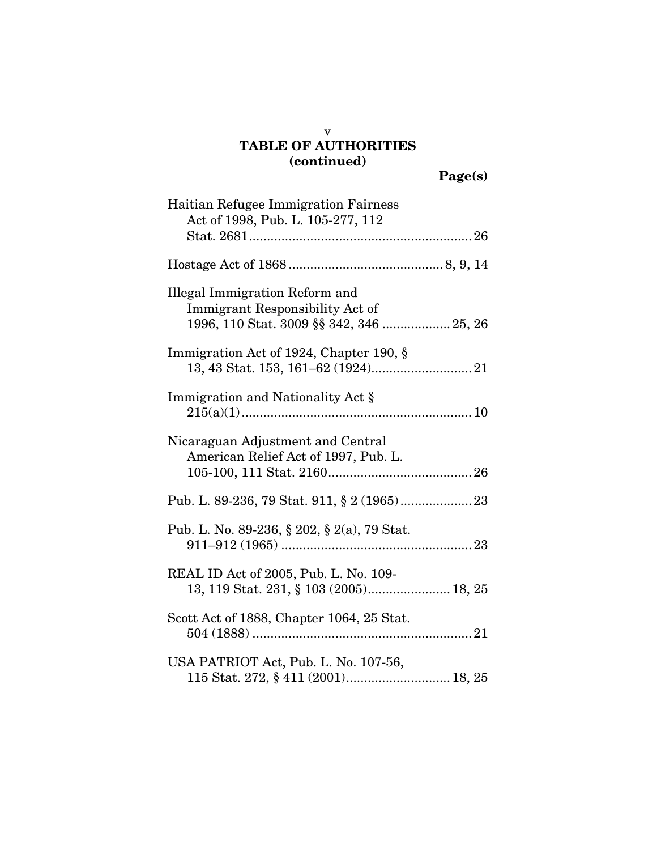### v TABLE OF AUTHORITIES (continued)

Page(s)

| Haitian Refugee Immigration Fairness        |
|---------------------------------------------|
| Act of 1998, Pub. L. 105-277, 112           |
|                                             |
|                                             |
|                                             |
|                                             |
| Illegal Immigration Reform and              |
| Immigrant Responsibility Act of             |
|                                             |
| Immigration Act of 1924, Chapter 190, §     |
|                                             |
|                                             |
| Immigration and Nationality Act §           |
|                                             |
|                                             |
| Nicaraguan Adjustment and Central           |
| American Relief Act of 1997, Pub. L.        |
|                                             |
|                                             |
|                                             |
|                                             |
| Pub. L. No. 89-236, § 202, § 2(a), 79 Stat. |
|                                             |
|                                             |
| REAL ID Act of 2005, Pub. L. No. 109-       |
| 13, 119 Stat. 231, § 103 (2005) 18, 25      |
|                                             |
| Scott Act of 1888, Chapter 1064, 25 Stat.   |
|                                             |
|                                             |
| USA PATRIOT Act, Pub. L. No. 107-56,        |
| 115 Stat. 272, § 411 (2001) 18, 25          |
|                                             |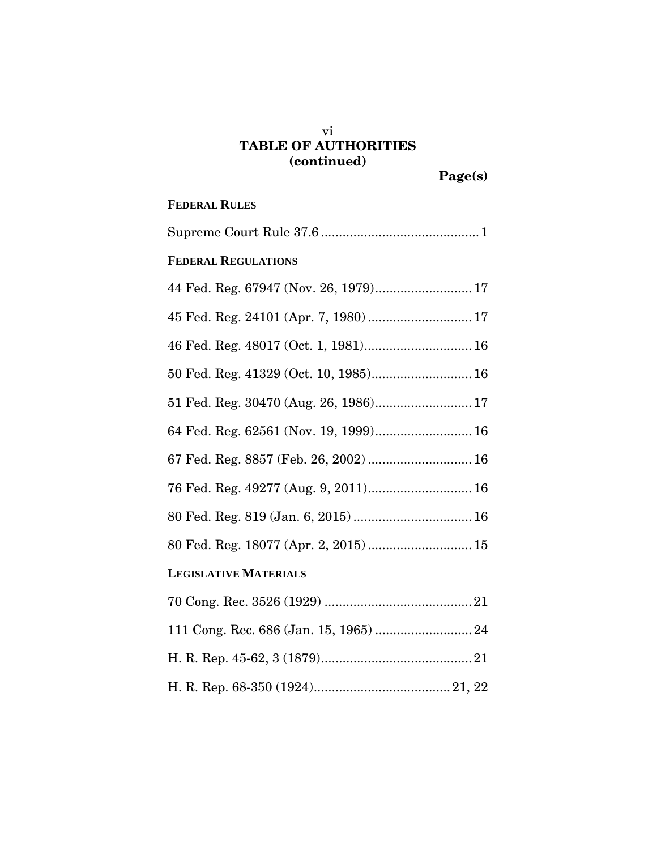# vi TABLE OF AUTHORITIES (continued)

# **FEDERAL RULES**

| <b>FEDERAL REGULATIONS</b>            |
|---------------------------------------|
| 44 Fed. Reg. 67947 (Nov. 26, 1979) 17 |
| 45 Fed. Reg. 24101 (Apr. 7, 1980) 17  |
| 46 Fed. Reg. 48017 (Oct. 1, 1981) 16  |
| 50 Fed. Reg. 41329 (Oct. 10, 1985) 16 |
|                                       |
| 64 Fed. Reg. 62561 (Nov. 19, 1999) 16 |
| 67 Fed. Reg. 8857 (Feb. 26, 2002)  16 |
| 76 Fed. Reg. 49277 (Aug. 9, 2011) 16  |
| 80 Fed. Reg. 819 (Jan. 6, 2015)  16   |
| 80 Fed. Reg. 18077 (Apr. 2, 2015) 15  |
| <b>LEGISLATIVE MATERIALS</b>          |
|                                       |
|                                       |
|                                       |
|                                       |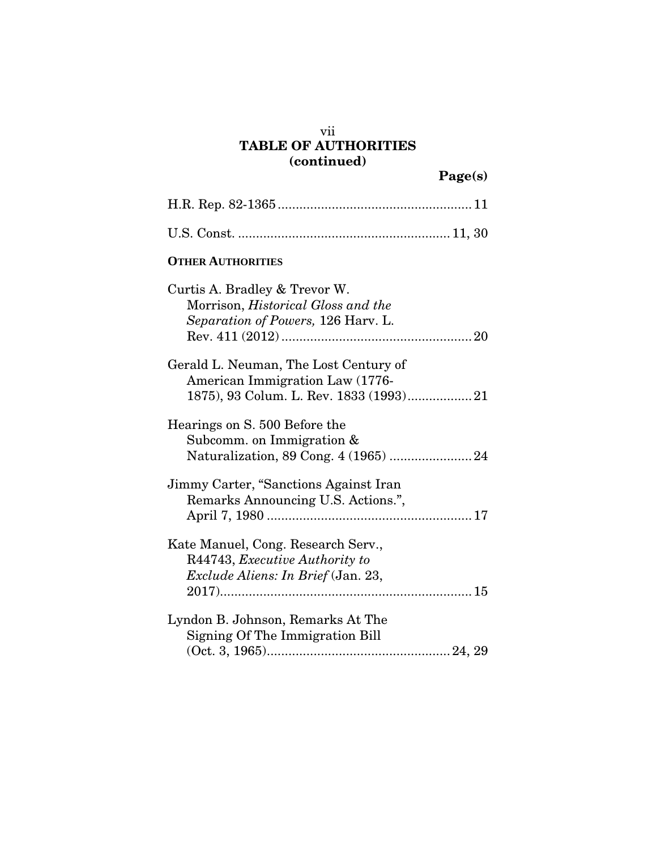# vii TABLE OF AUTHORITIES (continued)

| <b>OTHER AUTHORITIES</b>                                                                                         |
|------------------------------------------------------------------------------------------------------------------|
| Curtis A. Bradley & Trevor W.<br>Morrison, <i>Historical Gloss and the</i><br>Separation of Powers, 126 Harv. L. |
| Gerald L. Neuman, The Lost Century of<br>American Immigration Law (1776-                                         |
| Hearings on S. 500 Before the<br>Subcomm. on Immigration $&$                                                     |
| Jimmy Carter, "Sanctions Against Iran<br>Remarks Announcing U.S. Actions.",                                      |
| Kate Manuel, Cong. Research Serv.,<br>R44743, Executive Authority to<br>Exclude Aliens: In Brief (Jan. 23,       |
| Lyndon B. Johnson, Remarks At The<br>Signing Of The Immigration Bill                                             |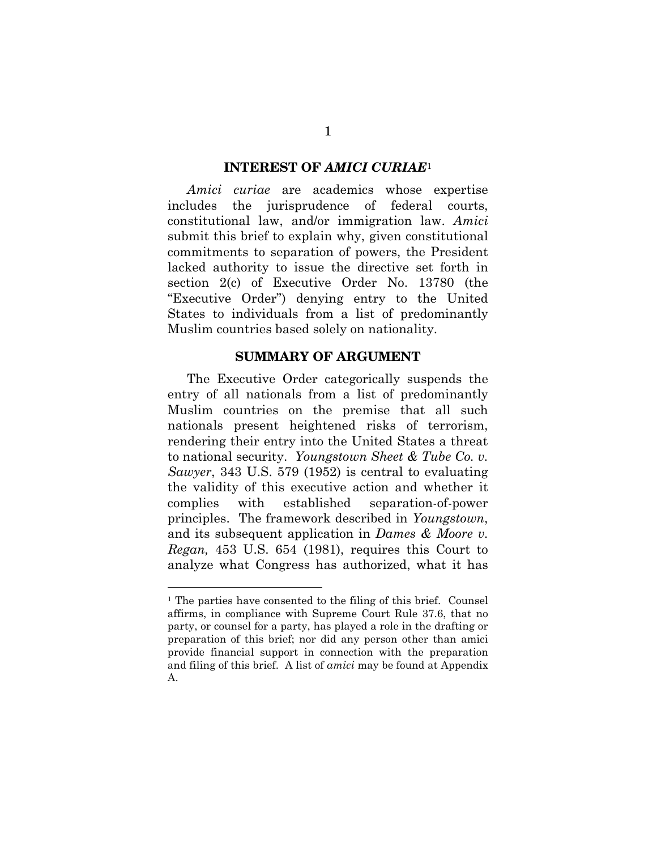#### INTEREST OF *AMICI CURIAE*<sup>1</sup>

*Amici curiae* are academics whose expertise includes the jurisprudence of federal courts, constitutional law, and/or immigration law. *Amici* submit this brief to explain why, given constitutional commitments to separation of powers, the President lacked authority to issue the directive set forth in section 2(c) of Executive Order No. 13780 (the "Executive Order") denying entry to the United States to individuals from a list of predominantly Muslim countries based solely on nationality.

#### SUMMARY OF ARGUMENT

The Executive Order categorically suspends the entry of all nationals from a list of predominantly Muslim countries on the premise that all such nationals present heightened risks of terrorism, rendering their entry into the United States a threat to national security. *Youngstown Sheet & Tube Co. v. Sawyer*, 343 U.S. 579 (1952) is central to evaluating the validity of this executive action and whether it complies with established separation-of-power principles. The framework described in *Youngstown*, and its subsequent application in *Dames & Moore v. Regan,* 453 U.S. 654 (1981), requires this Court to analyze what Congress has authorized, what it has

<sup>1</sup> The parties have consented to the filing of this brief. Counsel affirms, in compliance with Supreme Court Rule 37.6, that no party, or counsel for a party, has played a role in the drafting or preparation of this brief; nor did any person other than amici provide financial support in connection with the preparation and filing of this brief. A list of *amici* may be found at Appendix A.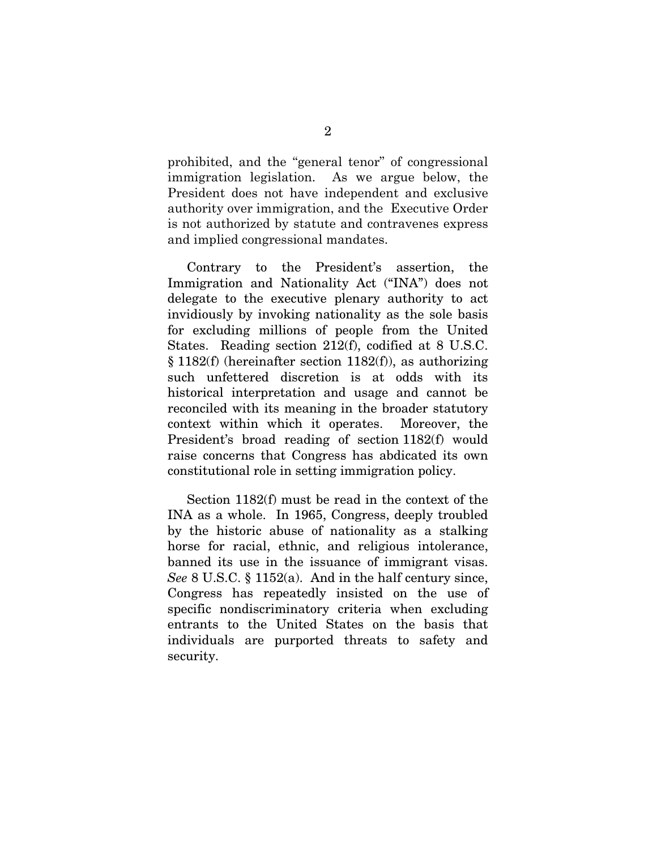prohibited, and the "general tenor" of congressional immigration legislation. As we argue below, the President does not have independent and exclusive authority over immigration, and the Executive Order is not authorized by statute and contravenes express and implied congressional mandates.

Contrary to the President's assertion, the Immigration and Nationality Act ("INA") does not delegate to the executive plenary authority to act invidiously by invoking nationality as the sole basis for excluding millions of people from the United States. Reading section 212(f), codified at 8 U.S.C. § 1182(f) (hereinafter section 1182(f)), as authorizing such unfettered discretion is at odds with its historical interpretation and usage and cannot be reconciled with its meaning in the broader statutory context within which it operates. Moreover, the President's broad reading of section 1182(f) would raise concerns that Congress has abdicated its own constitutional role in setting immigration policy.

Section 1182(f) must be read in the context of the INA as a whole. In 1965, Congress, deeply troubled by the historic abuse of nationality as a stalking horse for racial, ethnic, and religious intolerance, banned its use in the issuance of immigrant visas. *See* 8 U.S.C. § 1152(a). And in the half century since, Congress has repeatedly insisted on the use of specific nondiscriminatory criteria when excluding entrants to the United States on the basis that individuals are purported threats to safety and security.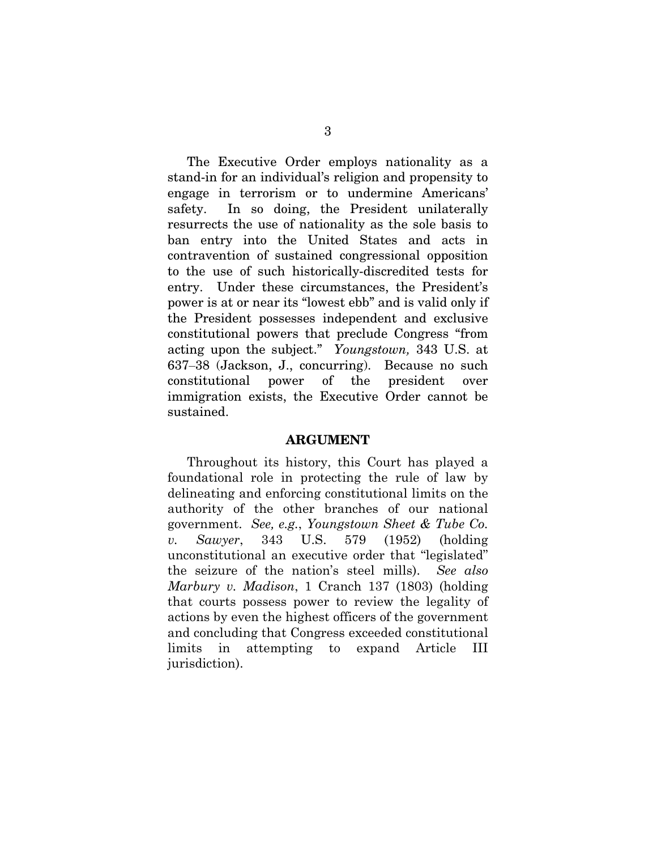The Executive Order employs nationality as a stand-in for an individual's religion and propensity to engage in terrorism or to undermine Americans' safety. In so doing, the President unilaterally resurrects the use of nationality as the sole basis to ban entry into the United States and acts in contravention of sustained congressional opposition to the use of such historically-discredited tests for entry. Under these circumstances, the President's power is at or near its "lowest ebb" and is valid only if the President possesses independent and exclusive constitutional powers that preclude Congress "from acting upon the subject." *Youngstown,* 343 U.S. at 637‒38 (Jackson, J., concurring). Because no such constitutional power of the president over immigration exists, the Executive Order cannot be sustained.

#### ARGUMENT

Throughout its history, this Court has played a foundational role in protecting the rule of law by delineating and enforcing constitutional limits on the authority of the other branches of our national government. *See, e.g.*, *Youngstown Sheet & Tube Co. v. Sawyer*, 343 U.S. 579 (1952) (holding unconstitutional an executive order that "legislated" the seizure of the nation's steel mills). *See also Marbury v. Madison*, 1 Cranch 137 (1803) (holding that courts possess power to review the legality of actions by even the highest officers of the government and concluding that Congress exceeded constitutional limits in attempting to expand Article III jurisdiction).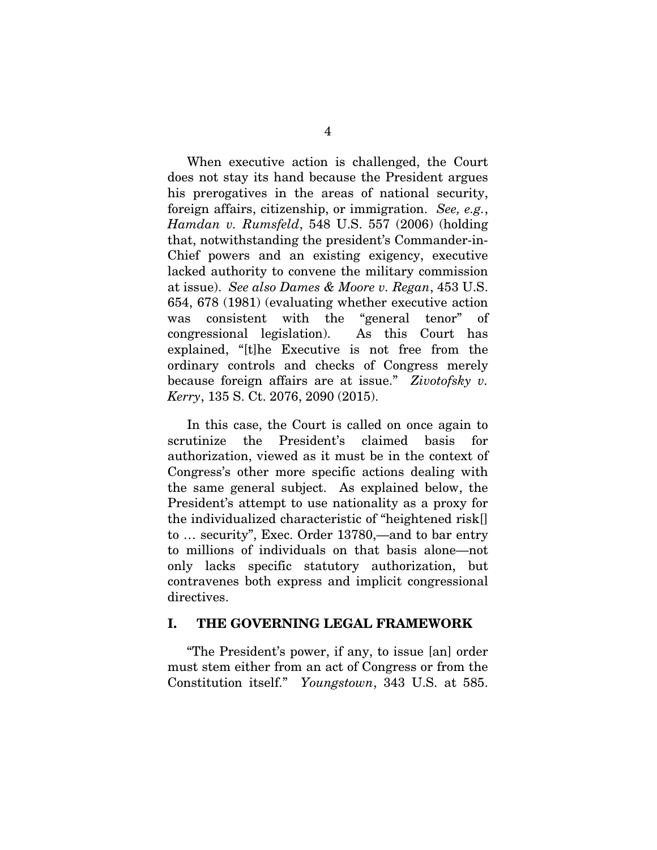When executive action is challenged, the Court does not stay its hand because the President argues his prerogatives in the areas of national security, foreign affairs, citizenship, or immigration. *See, e.g.*, *Hamdan v. Rumsfeld*, 548 U.S. 557 (2006) (holding that, notwithstanding the president's Commander-in-Chief powers and an existing exigency, executive lacked authority to convene the military commission at issue). *See also Dames & Moore v. Regan*, 453 U.S. 654, 678 (1981) (evaluating whether executive action was consistent with the "general tenor" of congressional legislation). As this Court has explained, "[t]he Executive is not free from the ordinary controls and checks of Congress merely because foreign affairs are at issue." *Zivotofsky v. Kerry*, 135 S. Ct. 2076, 2090 (2015).

In this case, the Court is called on once again to scrutinize the President's claimed basis for authorization, viewed as it must be in the context of Congress's other more specific actions dealing with the same general subject. As explained below, the President's attempt to use nationality as a proxy for the individualized characteristic of "heightened risk[] to … security", Exec. Order 13780,—and to bar entry to millions of individuals on that basis alone—not only lacks specific statutory authorization, but contravenes both express and implicit congressional directives.

#### I. THE GOVERNING LEGAL FRAMEWORK

"The President's power, if any, to issue [an] order must stem either from an act of Congress or from the Constitution itself." *Youngstown*, 343 U.S. at 585.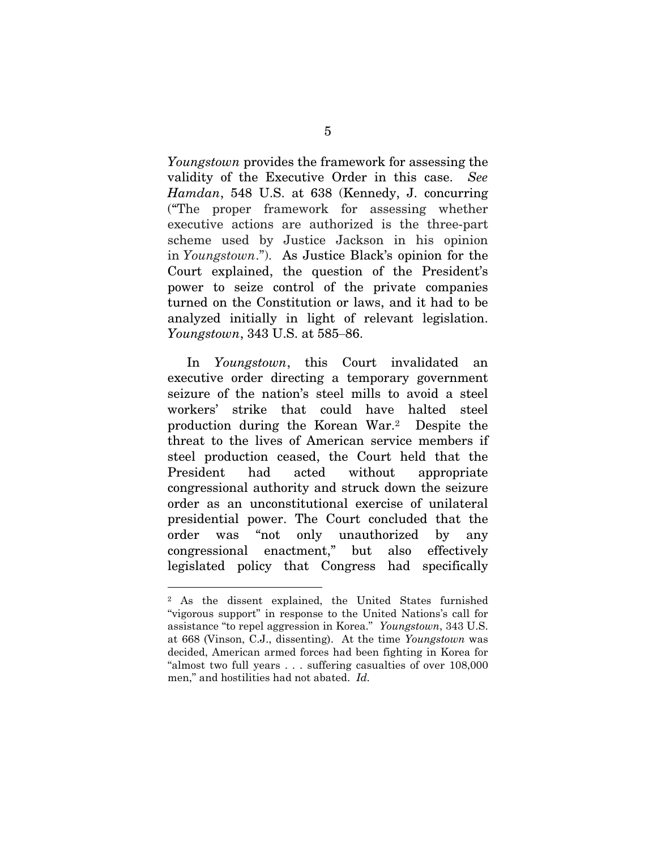*Youngstown* provides the framework for assessing the validity of the Executive Order in this case. *See Hamdan*, 548 U.S. at 638 (Kennedy, J. concurring ("The proper framework for assessing whether executive actions are authorized is the three-part scheme used by Justice Jackson in his opinion in *Youngstown*."). As Justice Black's opinion for the Court explained, the question of the President's power to seize control of the private companies turned on the Constitution or laws, and it had to be analyzed initially in light of relevant legislation. *Youngstown*, 343 U.S. at 585–86.

In *Youngstown*, this Court invalidated an executive order directing a temporary government seizure of the nation's steel mills to avoid a steel workers' strike that could have halted steel production during the Korean War.<sup>2</sup> Despite the threat to the lives of American service members if steel production ceased, the Court held that the President had acted without appropriate congressional authority and struck down the seizure order as an unconstitutional exercise of unilateral presidential power. The Court concluded that the order was "not only unauthorized by any congressional enactment," but also effectively legislated policy that Congress had specifically

<sup>2</sup> As the dissent explained, the United States furnished "vigorous support" in response to the United Nations's call for assistance "to repel aggression in Korea." *Youngstown*, 343 U.S. at 668 (Vinson, C.J., dissenting). At the time *Youngstown* was decided, American armed forces had been fighting in Korea for "almost two full years . . . suffering casualties of over 108,000 men," and hostilities had not abated. *Id.*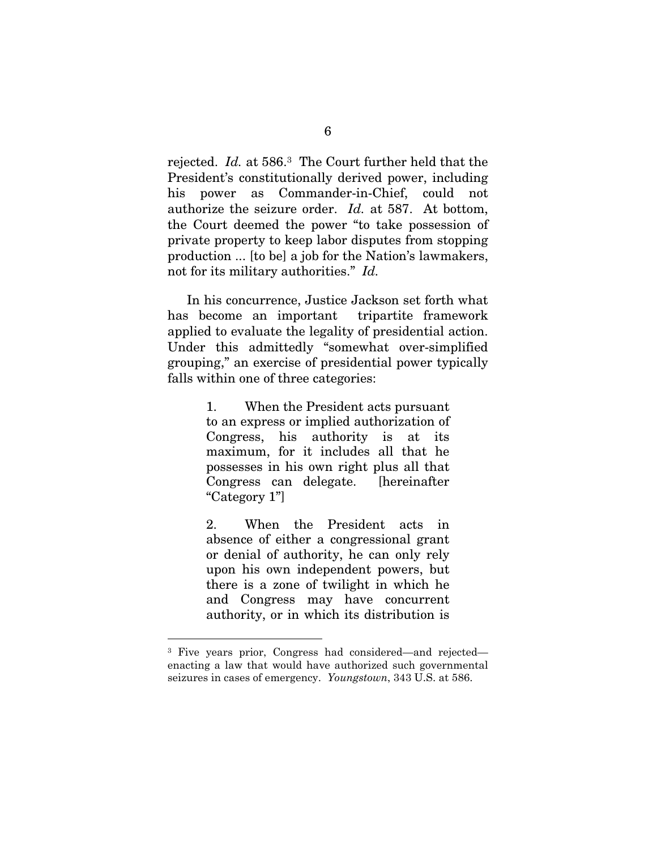rejected. *Id.* at 586.<sup>3</sup> The Court further held that the President's constitutionally derived power, including his power as Commander-in-Chief, could not authorize the seizure order. *Id.* at 587. At bottom, the Court deemed the power "to take possession of private property to keep labor disputes from stopping production ... [to be] a job for the Nation's lawmakers, not for its military authorities." *Id.*

In his concurrence, Justice Jackson set forth what has become an important tripartite framework applied to evaluate the legality of presidential action. Under this admittedly "somewhat over-simplified grouping," an exercise of presidential power typically falls within one of three categories:

> 1. When the President acts pursuant to an express or implied authorization of Congress, his authority is at its maximum, for it includes all that he possesses in his own right plus all that Congress can delegate. [hereinafter "Category 1"]

> 2. When the President acts in absence of either a congressional grant or denial of authority, he can only rely upon his own independent powers, but there is a zone of twilight in which he and Congress may have concurrent authority, or in which its distribution is

<sup>3</sup> Five years prior, Congress had considered—and rejected enacting a law that would have authorized such governmental seizures in cases of emergency. *Youngstown*, 343 U.S. at 586.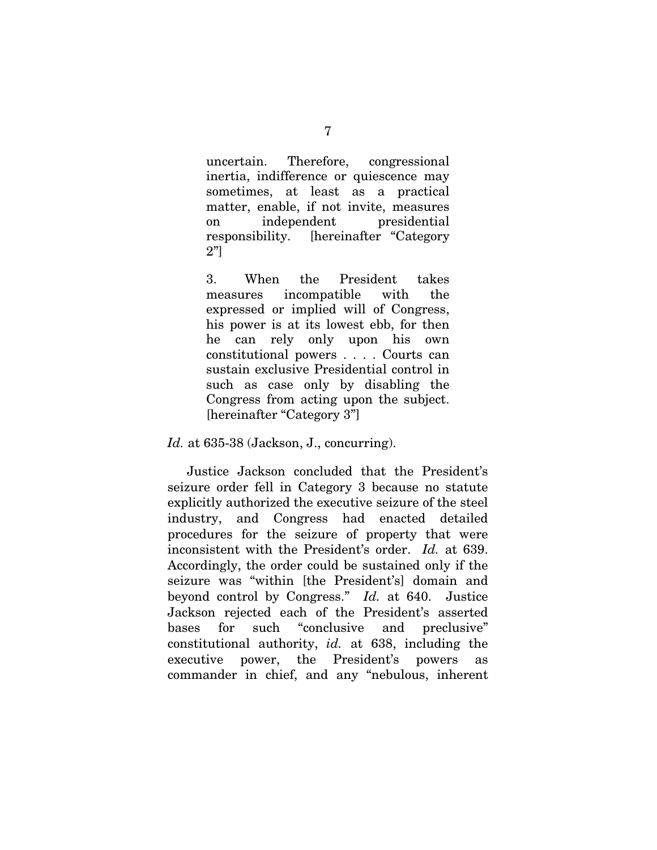uncertain. Therefore, congressional inertia, indifference or quiescence may sometimes, at least as a practical matter, enable, if not invite, measures on independent presidential responsibility. [hereinafter "Category 2"]

3. When the President takes measures incompatible with the expressed or implied will of Congress, his power is at its lowest ebb, for then he can rely only upon his own constitutional powers . . . . Courts can sustain exclusive Presidential control in such as case only by disabling the Congress from acting upon the subject. [hereinafter "Category 3"]

*Id.* at 635-38 (Jackson, J., concurring).

Justice Jackson concluded that the President's seizure order fell in Category 3 because no statute explicitly authorized the executive seizure of the steel industry, and Congress had enacted detailed procedures for the seizure of property that were inconsistent with the President's order. *Id.* at 639. Accordingly, the order could be sustained only if the seizure was "within [the President's] domain and beyond control by Congress." *Id.* at 640. Justice Jackson rejected each of the President's asserted bases for such "conclusive and preclusive" constitutional authority, *id.* at 638, including the executive power, the President's powers as commander in chief, and any "nebulous, inherent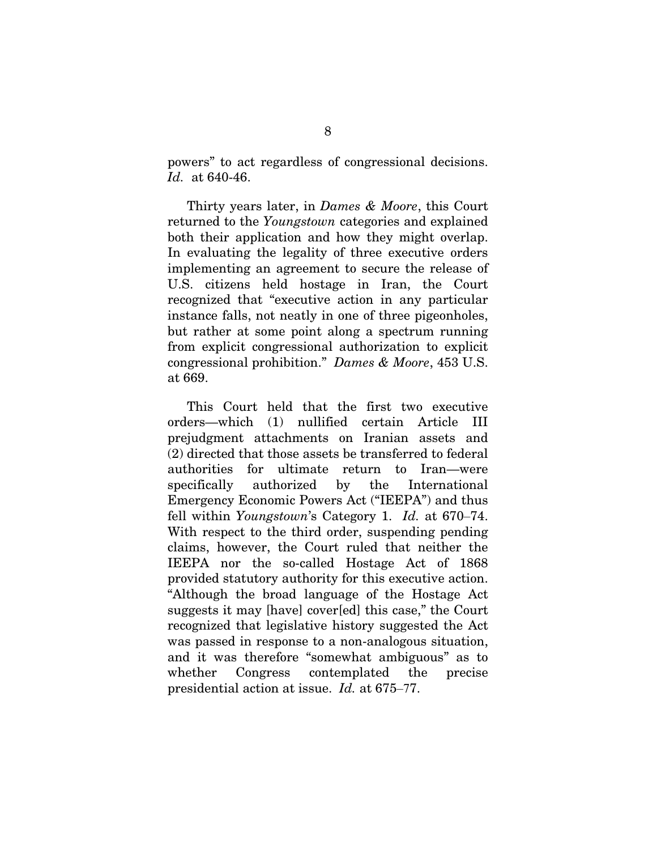powers" to act regardless of congressional decisions. *Id.* at 640-46.

Thirty years later, in *Dames & Moore*, this Court returned to the *Youngstown* categories and explained both their application and how they might overlap. In evaluating the legality of three executive orders implementing an agreement to secure the release of U.S. citizens held hostage in Iran, the Court recognized that "executive action in any particular instance falls, not neatly in one of three pigeonholes, but rather at some point along a spectrum running from explicit congressional authorization to explicit congressional prohibition." *Dames & Moore*, 453 U.S. at 669.

This Court held that the first two executive orders—which (1) nullified certain Article III prejudgment attachments on Iranian assets and (2) directed that those assets be transferred to federal authorities for ultimate return to Iran—were specifically authorized by the International Emergency Economic Powers Act ("IEEPA") and thus fell within *Youngstown*'s Category 1. *Id.* at 670–74. With respect to the third order, suspending pending claims, however, the Court ruled that neither the IEEPA nor the so-called Hostage Act of 1868 provided statutory authority for this executive action. "Although the broad language of the Hostage Act suggests it may [have] cover[ed] this case," the Court recognized that legislative history suggested the Act was passed in response to a non-analogous situation, and it was therefore "somewhat ambiguous" as to whether Congress contemplated the precise presidential action at issue. *Id.* at 675‒77.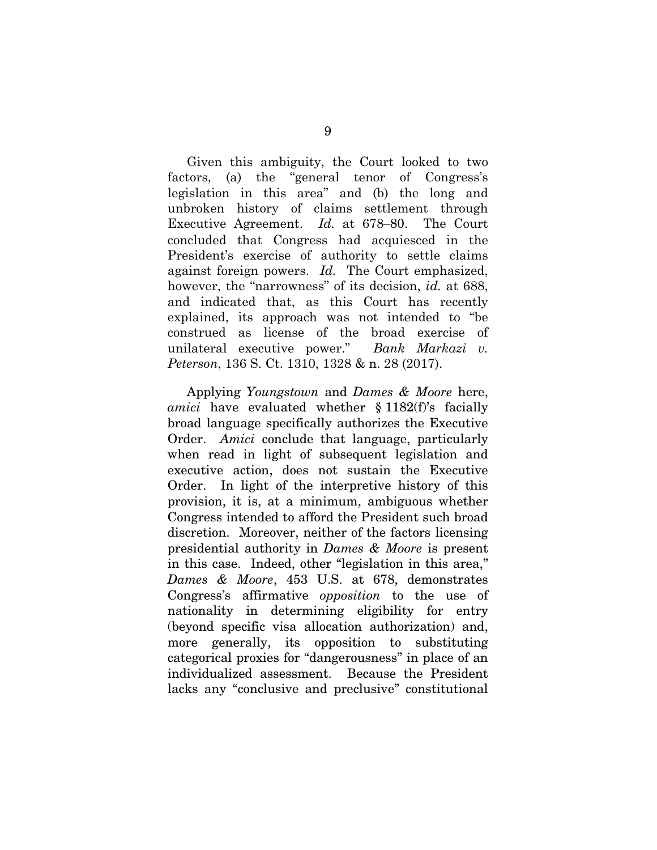Given this ambiguity, the Court looked to two factors, (a) the "general tenor of Congress's legislation in this area" and (b) the long and unbroken history of claims settlement through Executive Agreement. *Id.* at 678–80. The Court concluded that Congress had acquiesced in the President's exercise of authority to settle claims against foreign powers. *Id.* The Court emphasized, however, the "narrowness" of its decision, *id.* at 688, and indicated that, as this Court has recently explained, its approach was not intended to "be construed as license of the broad exercise of unilateral executive power." *Bank Markazi v. Peterson*, 136 S. Ct. 1310, 1328 & n. 28 (2017).

Applying *Youngstown* and *Dames & Moore* here, *amici* have evaluated whether § 1182(f)'s facially broad language specifically authorizes the Executive Order. *Amici* conclude that language, particularly when read in light of subsequent legislation and executive action, does not sustain the Executive Order. In light of the interpretive history of this provision, it is, at a minimum, ambiguous whether Congress intended to afford the President such broad discretion. Moreover, neither of the factors licensing presidential authority in *Dames & Moore* is present in this case. Indeed, other "legislation in this area," *Dames & Moore*, 453 U.S. at 678, demonstrates Congress's affirmative *opposition* to the use of nationality in determining eligibility for entry (beyond specific visa allocation authorization) and, more generally, its opposition to substituting categorical proxies for "dangerousness" in place of an individualized assessment. Because the President lacks any "conclusive and preclusive" constitutional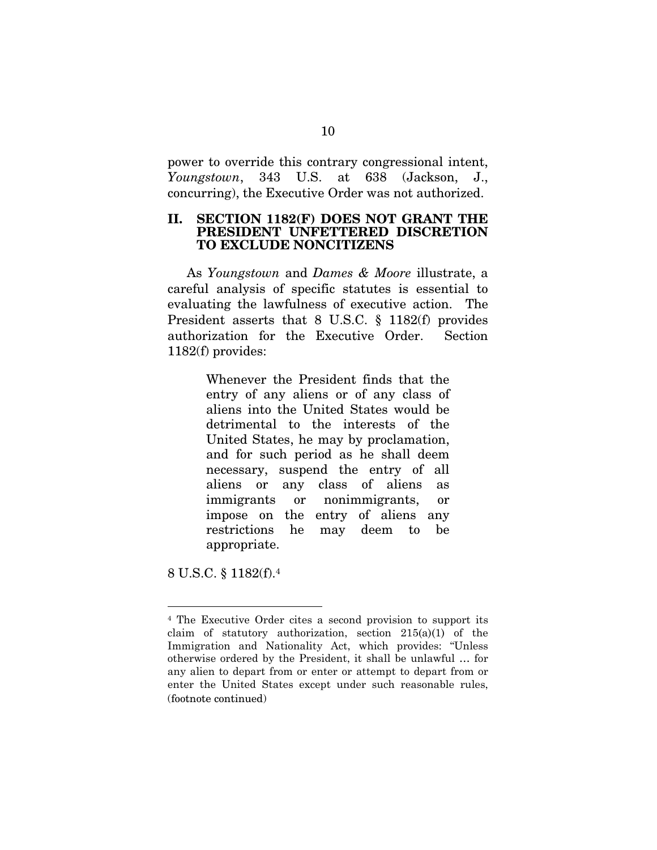power to override this contrary congressional intent, *Youngstown*, 343 U.S. at 638 (Jackson, J., concurring), the Executive Order was not authorized.

#### II. SECTION 1182(F) DOES NOT GRANT THE PRESIDENT UNFETTERED DISCRETION TO EXCLUDE NONCITIZENS

As *Youngstown* and *Dames & Moore* illustrate, a careful analysis of specific statutes is essential to evaluating the lawfulness of executive action. The President asserts that 8 U.S.C. § 1182(f) provides authorization for the Executive Order. Section 1182(f) provides:

> Whenever the President finds that the entry of any aliens or of any class of aliens into the United States would be detrimental to the interests of the United States, he may by proclamation, and for such period as he shall deem necessary, suspend the entry of all aliens or any class of aliens as immigrants or nonimmigrants, or impose on the entry of aliens any restrictions he may deem to be appropriate.

8 U.S.C. § 1182(f).<sup>4</sup>

<sup>4</sup> The Executive Order cites a second provision to support its claim of statutory authorization, section 215(a)(1) of the Immigration and Nationality Act, which provides: "Unless otherwise ordered by the President, it shall be unlawful … for any alien to depart from or enter or attempt to depart from or enter the United States except under such reasonable rules, (footnote continued)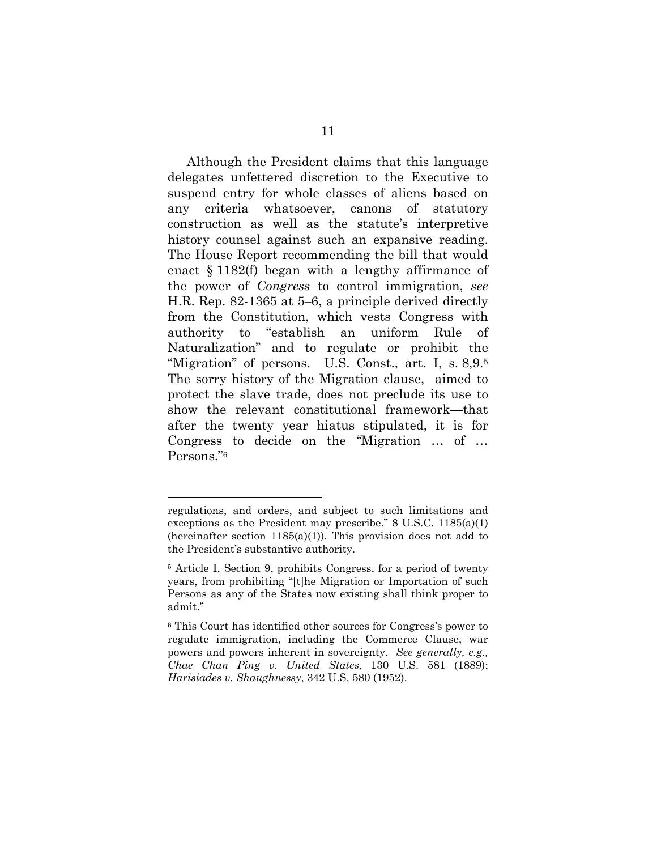Although the President claims that this language delegates unfettered discretion to the Executive to suspend entry for whole classes of aliens based on any criteria whatsoever, canons of statutory construction as well as the statute's interpretive history counsel against such an expansive reading. The House Report recommending the bill that would enact § 1182(f) began with a lengthy affirmance of the power of *Congress* to control immigration, *see* H.R. Rep. 82-1365 at 5–6, a principle derived directly from the Constitution, which vests Congress with authority to "establish an uniform Rule of Naturalization" and to regulate or prohibit the "Migration" of persons. U.S. Const., art. I, s. 8,9.5 The sorry history of the Migration clause, aimed to protect the slave trade, does not preclude its use to show the relevant constitutional framework—that after the twenty year hiatus stipulated, it is for Congress to decide on the "Migration … of … Persons."6

regulations, and orders, and subject to such limitations and exceptions as the President may prescribe." 8 U.S.C. 1185(a)(1) (hereinafter section  $1185(a)(1)$ ). This provision does not add to the President's substantive authority.

<sup>5</sup> Article I, Section 9, prohibits Congress, for a period of twenty years, from prohibiting "[t]he Migration or Importation of such Persons as any of the States now existing shall think proper to admit."

<sup>6</sup> This Court has identified other sources for Congress's power to regulate immigration, including the Commerce Clause, war powers and powers inherent in sovereignty. *See generally, e.g., Chae Chan Ping v. United States,* 130 U.S. 581 (1889); *Harisiades v. Shaughnessy*, 342 U.S. 580 (1952).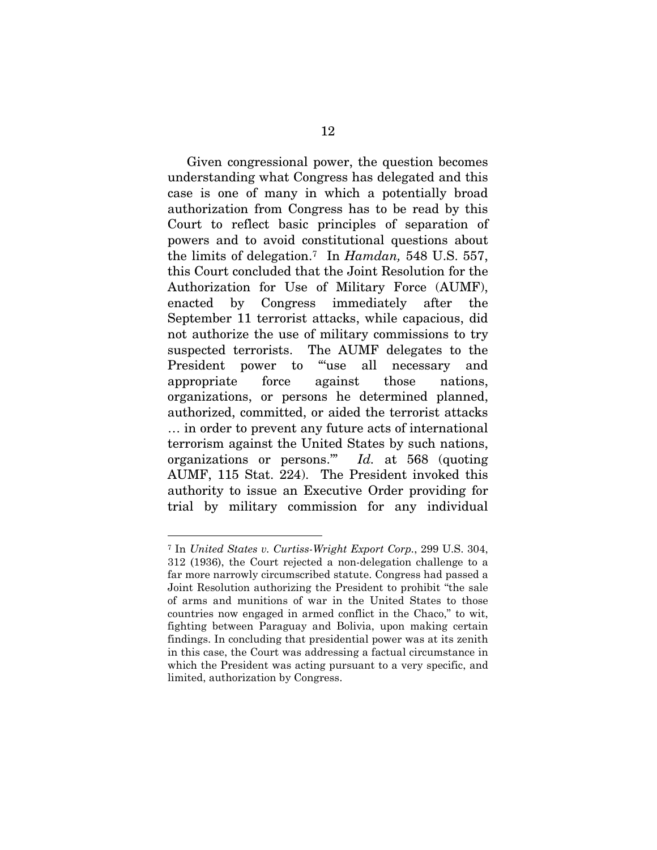Given congressional power, the question becomes understanding what Congress has delegated and this case is one of many in which a potentially broad authorization from Congress has to be read by this Court to reflect basic principles of separation of powers and to avoid constitutional questions about the limits of delegation.<sup>7</sup> In *Hamdan,* 548 U.S. 557, this Court concluded that the Joint Resolution for the Authorization for Use of Military Force (AUMF), enacted by Congress immediately after the September 11 terrorist attacks, while capacious, did not authorize the use of military commissions to try suspected terrorists. The AUMF delegates to the President power to "use all necessary and appropriate force against those nations, organizations, or persons he determined planned, authorized, committed, or aided the terrorist attacks … in order to prevent any future acts of international terrorism against the United States by such nations, organizations or persons.'" *Id.* at 568 (quoting AUMF, 115 Stat. 224). The President invoked this authority to issue an Executive Order providing for trial by military commission for any individual

<sup>7</sup> In *United States v. Curtiss-Wright Export Corp.*, 299 U.S. 304, 312 (1936), the Court rejected a non-delegation challenge to a far more narrowly circumscribed statute. Congress had passed a Joint Resolution authorizing the President to prohibit "the sale of arms and munitions of war in the United States to those countries now engaged in armed conflict in the Chaco," to wit, fighting between Paraguay and Bolivia, upon making certain findings. In concluding that presidential power was at its zenith in this case, the Court was addressing a factual circumstance in which the President was acting pursuant to a very specific, and limited, authorization by Congress.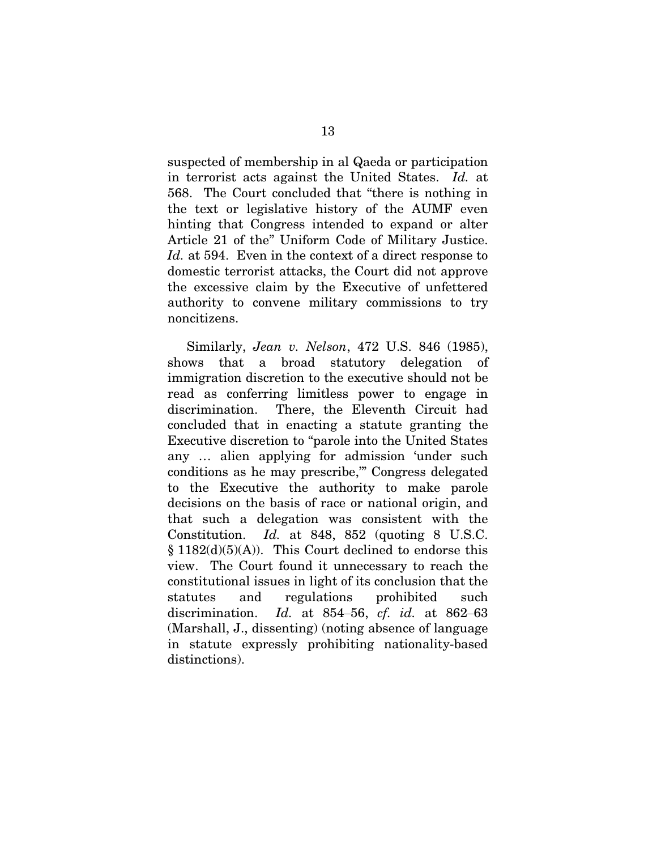suspected of membership in al Qaeda or participation in terrorist acts against the United States. *Id.* at 568. The Court concluded that "there is nothing in the text or legislative history of the AUMF even hinting that Congress intended to expand or alter Article 21 of the" Uniform Code of Military Justice. *Id.* at 594. Even in the context of a direct response to domestic terrorist attacks, the Court did not approve the excessive claim by the Executive of unfettered authority to convene military commissions to try noncitizens.

Similarly, *Jean v. Nelson*, 472 U.S. 846 (1985), shows that a broad statutory delegation of immigration discretion to the executive should not be read as conferring limitless power to engage in discrimination. There, the Eleventh Circuit had concluded that in enacting a statute granting the Executive discretion to "parole into the United States any … alien applying for admission 'under such conditions as he may prescribe,'" Congress delegated to the Executive the authority to make parole decisions on the basis of race or national origin, and that such a delegation was consistent with the Constitution. *Id.* at 848, 852 (quoting 8 U.S.C.  $§ 1182(d)(5)(A)).$  This Court declined to endorse this view. The Court found it unnecessary to reach the constitutional issues in light of its conclusion that the statutes and regulations prohibited such discrimination. *Id.* at 854‒56, *cf. id.* at 862‒63 (Marshall, J., dissenting) (noting absence of language in statute expressly prohibiting nationality-based distinctions).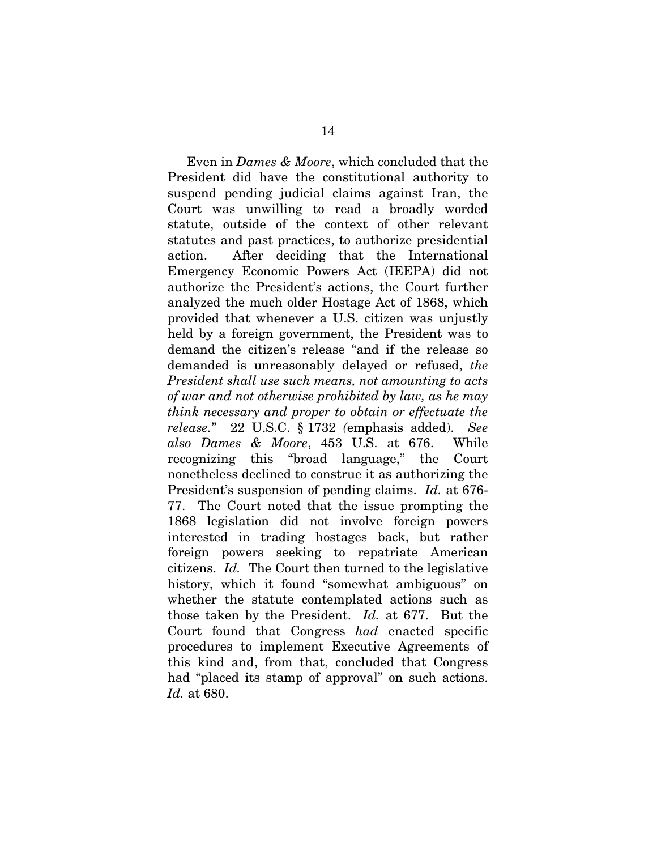Even in *Dames & Moore*, which concluded that the President did have the constitutional authority to suspend pending judicial claims against Iran, the Court was unwilling to read a broadly worded statute, outside of the context of other relevant statutes and past practices, to authorize presidential action. After deciding that the International Emergency Economic Powers Act (IEEPA) did not authorize the President's actions, the Court further analyzed the much older Hostage Act of 1868, which provided that whenever a U.S. citizen was unjustly held by a foreign government, the President was to demand the citizen's release "and if the release so demanded is unreasonably delayed or refused, *the President shall use such means, not amounting to acts of war and not otherwise prohibited by law, as he may think necessary and proper to obtain or effectuate the release.*" 22 U.S.C. § 1732 *(*emphasis added). *See also Dames & Moore*, 453 U.S. at 676. While recognizing this "broad language," the Court nonetheless declined to construe it as authorizing the President's suspension of pending claims. *Id.* at 676- 77. The Court noted that the issue prompting the 1868 legislation did not involve foreign powers interested in trading hostages back, but rather foreign powers seeking to repatriate American citizens. *Id.* The Court then turned to the legislative history, which it found "somewhat ambiguous" on whether the statute contemplated actions such as those taken by the President. *Id.* at 677. But the Court found that Congress *had* enacted specific procedures to implement Executive Agreements of this kind and, from that, concluded that Congress had "placed its stamp of approval" on such actions. *Id.* at 680.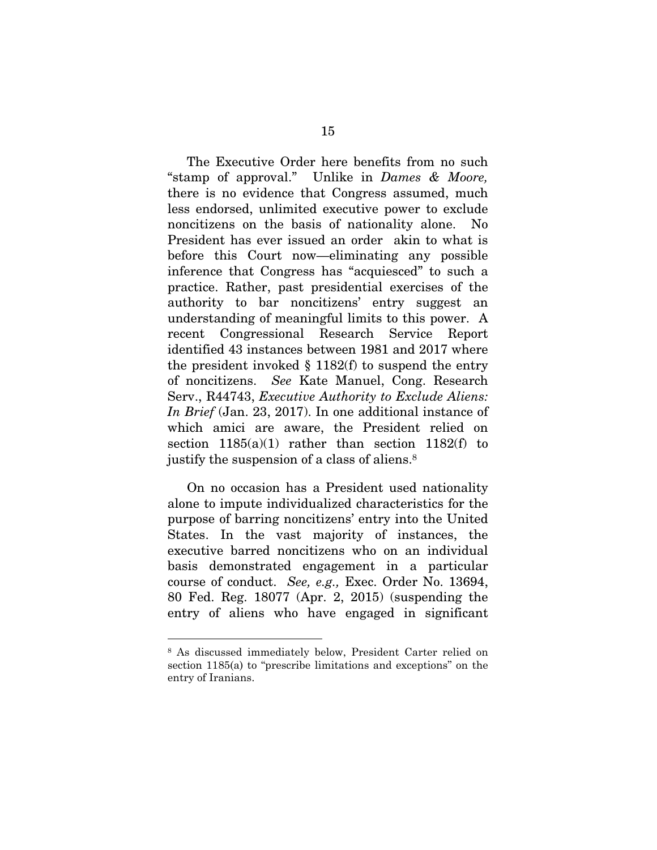The Executive Order here benefits from no such "stamp of approval." Unlike in *Dames & Moore,*  there is no evidence that Congress assumed, much less endorsed, unlimited executive power to exclude noncitizens on the basis of nationality alone. No President has ever issued an order akin to what is before this Court now—eliminating any possible inference that Congress has "acquiesced" to such a practice. Rather, past presidential exercises of the authority to bar noncitizens' entry suggest an understanding of meaningful limits to this power. A recent Congressional Research Service Report identified 43 instances between 1981 and 2017 where the president invoked  $\S$  1182(f) to suspend the entry of noncitizens. *See* Kate Manuel, Cong. Research Serv., R44743, *Executive Authority to Exclude Aliens: In Brief* (Jan. 23, 2017). In one additional instance of which amici are aware, the President relied on section  $1185(a)(1)$  rather than section  $1182(f)$  to justify the suspension of a class of aliens.<sup>8</sup>

On no occasion has a President used nationality alone to impute individualized characteristics for the purpose of barring noncitizens' entry into the United States. In the vast majority of instances, the executive barred noncitizens who on an individual basis demonstrated engagement in a particular course of conduct. *See, e.g.,* Exec. Order No. 13694, 80 Fed. Reg. 18077 (Apr. 2, 2015) (suspending the entry of aliens who have engaged in significant

<sup>8</sup> As discussed immediately below, President Carter relied on section 1185(a) to "prescribe limitations and exceptions" on the entry of Iranians.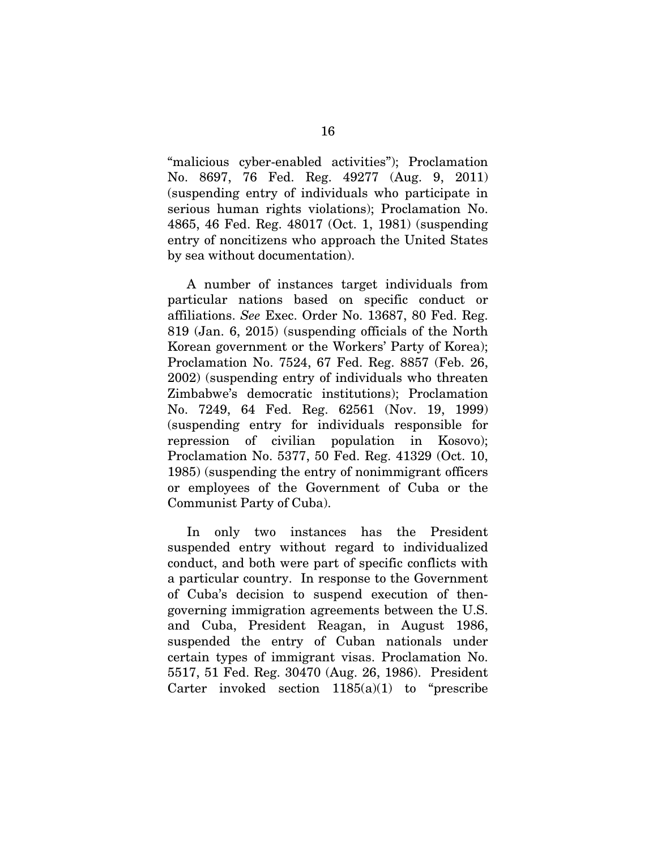"malicious cyber-enabled activities"); Proclamation No. 8697, 76 Fed. Reg. 49277 (Aug. 9, 2011) (suspending entry of individuals who participate in serious human rights violations); Proclamation No. 4865, 46 Fed. Reg. 48017 (Oct. 1, 1981) (suspending entry of noncitizens who approach the United States by sea without documentation).

A number of instances target individuals from particular nations based on specific conduct or affiliations. *See* Exec. Order No. 13687, 80 Fed. Reg. 819 (Jan. 6, 2015) (suspending officials of the North Korean government or the Workers' Party of Korea); Proclamation No. 7524, 67 Fed. Reg. 8857 (Feb. 26, 2002) (suspending entry of individuals who threaten Zimbabwe's democratic institutions); Proclamation No. 7249, 64 Fed. Reg. 62561 (Nov. 19, 1999) (suspending entry for individuals responsible for repression of civilian population in Kosovo); Proclamation No. 5377, 50 Fed. Reg. 41329 (Oct. 10, 1985) (suspending the entry of nonimmigrant officers or employees of the Government of Cuba or the Communist Party of Cuba).

In only two instances has the President suspended entry without regard to individualized conduct, and both were part of specific conflicts with a particular country. In response to the Government of Cuba's decision to suspend execution of thengoverning immigration agreements between the U.S. and Cuba, President Reagan, in August 1986, suspended the entry of Cuban nationals under certain types of immigrant visas. Proclamation No. 5517, 51 Fed. Reg. 30470 (Aug. 26, 1986). President Carter invoked section  $1185(a)(1)$  to "prescribe"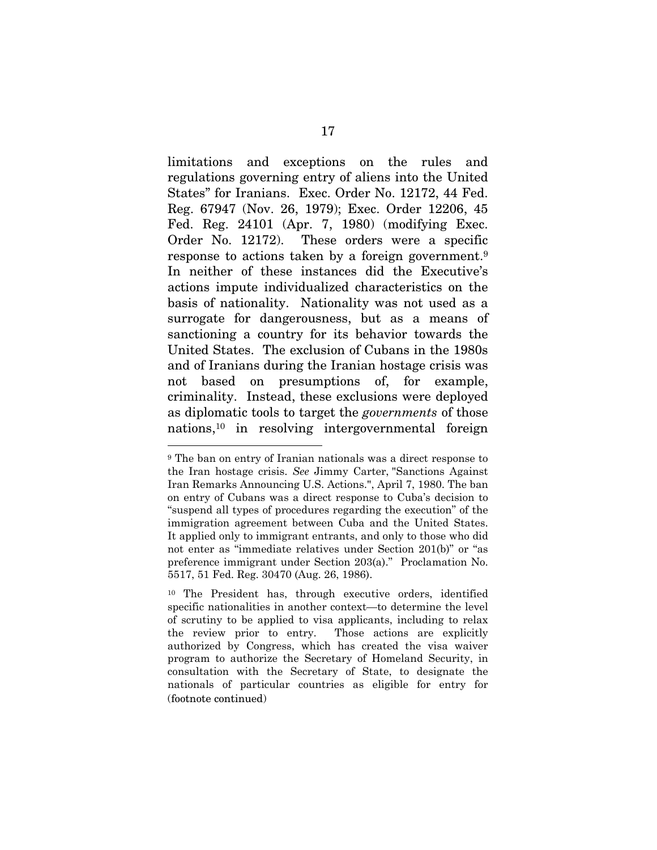limitations and exceptions on the rules and regulations governing entry of aliens into the United States" for Iranians. Exec. Order No. 12172, 44 Fed. Reg. 67947 (Nov. 26, 1979); Exec. Order 12206, 45 Fed. Reg. 24101 (Apr. 7, 1980) (modifying Exec. Order No. 12172). These orders were a specific response to actions taken by a foreign government.<sup>9</sup> In neither of these instances did the Executive's actions impute individualized characteristics on the basis of nationality. Nationality was not used as a surrogate for dangerousness, but as a means of sanctioning a country for its behavior towards the United States. The exclusion of Cubans in the 1980s and of Iranians during the Iranian hostage crisis was not based on presumptions of, for example, criminality. Instead, these exclusions were deployed as diplomatic tools to target the *governments* of those nations,<sup>10</sup> in resolving intergovernmental foreign

<sup>9</sup> The ban on entry of Iranian nationals was a direct response to the Iran hostage crisis. *See* Jimmy Carter, "Sanctions Against Iran Remarks Announcing U.S. Actions.", April 7, 1980. The ban on entry of Cubans was a direct response to Cuba's decision to "suspend all types of procedures regarding the execution" of the immigration agreement between Cuba and the United States. It applied only to immigrant entrants, and only to those who did not enter as "immediate relatives under Section 201(b)" or "as preference immigrant under Section 203(a)." Proclamation No. 5517, 51 Fed. Reg. 30470 (Aug. 26, 1986).

<sup>10</sup> The President has, through executive orders, identified specific nationalities in another context—to determine the level of scrutiny to be applied to visa applicants, including to relax the review prior to entry. Those actions are explicitly authorized by Congress, which has created the visa waiver program to authorize the Secretary of Homeland Security, in consultation with the Secretary of State, to designate the nationals of particular countries as eligible for entry for (footnote continued)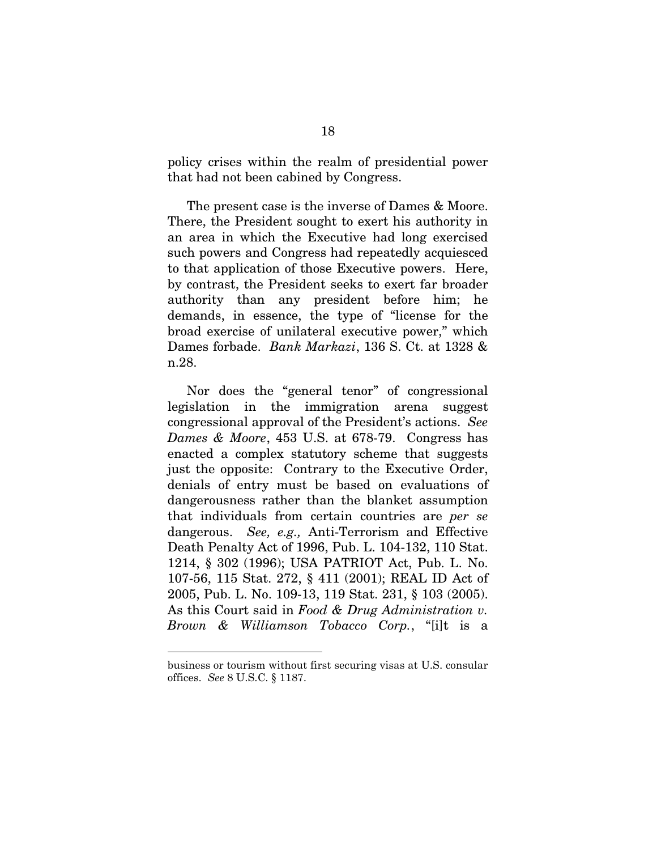policy crises within the realm of presidential power that had not been cabined by Congress.

The present case is the inverse of Dames & Moore. There, the President sought to exert his authority in an area in which the Executive had long exercised such powers and Congress had repeatedly acquiesced to that application of those Executive powers. Here, by contrast, the President seeks to exert far broader authority than any president before him; he demands, in essence, the type of "license for the broad exercise of unilateral executive power," which Dames forbade. *Bank Markazi*, 136 S. Ct. at 1328 & n.28.

Nor does the "general tenor" of congressional legislation in the immigration arena suggest congressional approval of the President's actions. *See Dames & Moore*, 453 U.S. at 678-79. Congress has enacted a complex statutory scheme that suggests just the opposite: Contrary to the Executive Order, denials of entry must be based on evaluations of dangerousness rather than the blanket assumption that individuals from certain countries are *per se* dangerous. *See, e.g.,* Anti-Terrorism and Effective Death Penalty Act of 1996, Pub. L. 104-132, 110 Stat. 1214, § 302 (1996); USA PATRIOT Act, Pub. L. No. 107-56, 115 Stat. 272, § 411 (2001); REAL ID Act of 2005, Pub. L. No. 109-13, 119 Stat. 231, § 103 (2005). As this Court said in *Food & Drug Administration v. Brown & Williamson Tobacco Corp.*, "[i]t is a

business or tourism without first securing visas at U.S. consular offices. *See* 8 U.S.C. § 1187.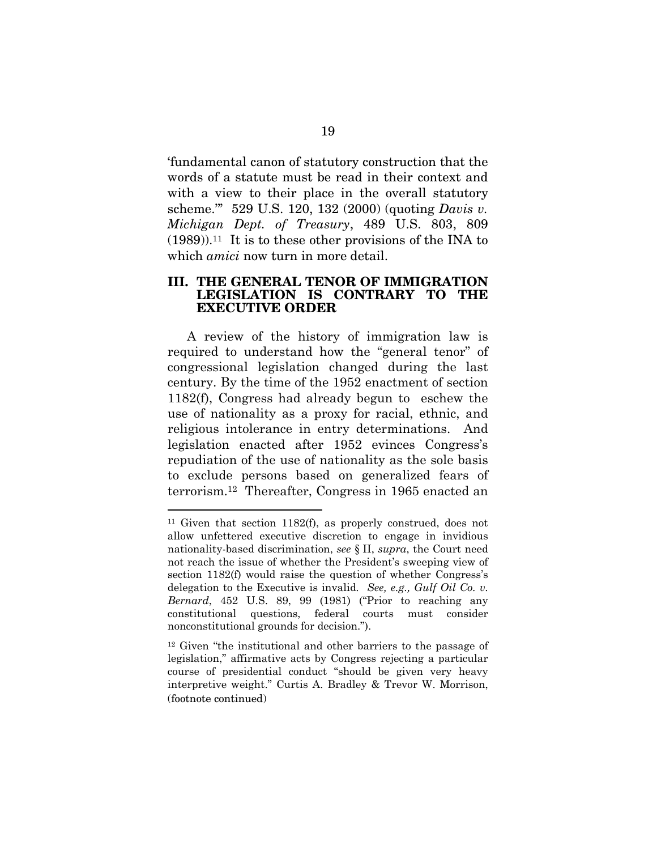'fundamental canon of statutory construction that the words of a statute must be read in their context and with a view to their place in the overall statutory scheme.'" 529 U.S. 120, 132 (2000) (quoting *Davis v. Michigan Dept. of Treasury*, 489 U.S. 803, 809  $(1989)$ <sup>11</sup>. It is to these other provisions of the INA to which *amici* now turn in more detail.

#### III. THE GENERAL TENOR OF IMMIGRATION LEGISLATION IS CONTRARY TO THE EXECUTIVE ORDER

A review of the history of immigration law is required to understand how the "general tenor" of congressional legislation changed during the last century. By the time of the 1952 enactment of section 1182(f), Congress had already begun to eschew the use of nationality as a proxy for racial, ethnic, and religious intolerance in entry determinations. And legislation enacted after 1952 evinces Congress's repudiation of the use of nationality as the sole basis to exclude persons based on generalized fears of terrorism.12 Thereafter, Congress in 1965 enacted an

<sup>11</sup> Given that section 1182(f), as properly construed, does not allow unfettered executive discretion to engage in invidious nationality-based discrimination, *see* § II, *supra*, the Court need not reach the issue of whether the President's sweeping view of section 1182(f) would raise the question of whether Congress's delegation to the Executive is invalid*. See, e.g., Gulf Oil Co. v. Bernard*, 452 U.S. 89, 99 (1981) ("Prior to reaching any constitutional questions, federal courts must consider nonconstitutional grounds for decision.").

<sup>12</sup> Given "the institutional and other barriers to the passage of legislation," affirmative acts by Congress rejecting a particular course of presidential conduct "should be given very heavy interpretive weight." Curtis A. Bradley & Trevor W. Morrison, (footnote continued)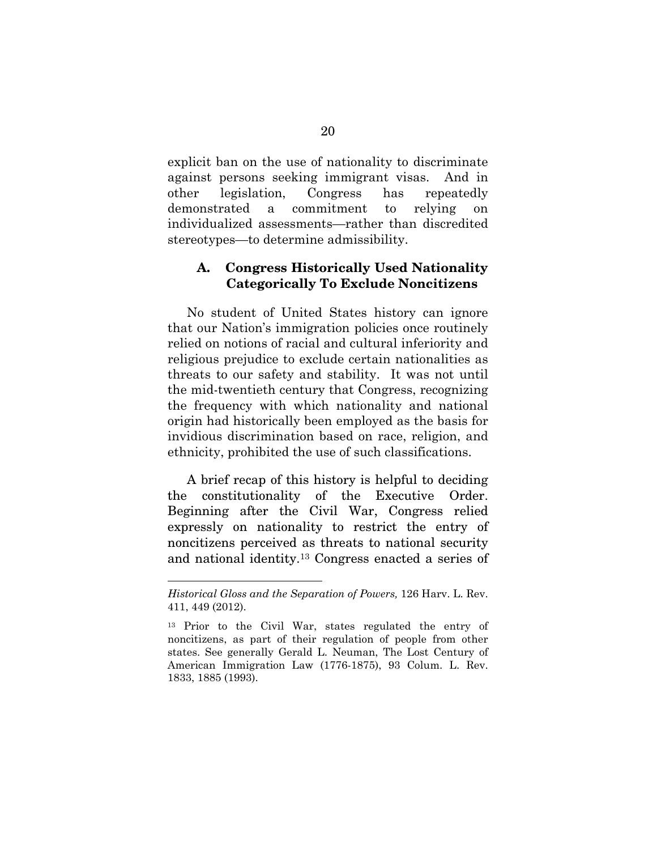explicit ban on the use of nationality to discriminate against persons seeking immigrant visas. And in other legislation, Congress has repeatedly demonstrated a commitment to relying on individualized assessments—rather than discredited stereotypes—to determine admissibility.

### A. Congress Historically Used Nationality Categorically To Exclude Noncitizens

No student of United States history can ignore that our Nation's immigration policies once routinely relied on notions of racial and cultural inferiority and religious prejudice to exclude certain nationalities as threats to our safety and stability. It was not until the mid-twentieth century that Congress, recognizing the frequency with which nationality and national origin had historically been employed as the basis for invidious discrimination based on race, religion, and ethnicity, prohibited the use of such classifications.

A brief recap of this history is helpful to deciding the constitutionality of the Executive Order. Beginning after the Civil War, Congress relied expressly on nationality to restrict the entry of noncitizens perceived as threats to national security and national identity.<sup>13</sup> Congress enacted a series of

*Historical Gloss and the Separation of Powers,* 126 Harv. L. Rev. 411, 449 (2012).

<sup>13</sup> Prior to the Civil War, states regulated the entry of noncitizens, as part of their regulation of people from other states. See generally Gerald L. Neuman, The Lost Century of American Immigration Law (1776-1875), 93 Colum. L. Rev. 1833, 1885 (1993).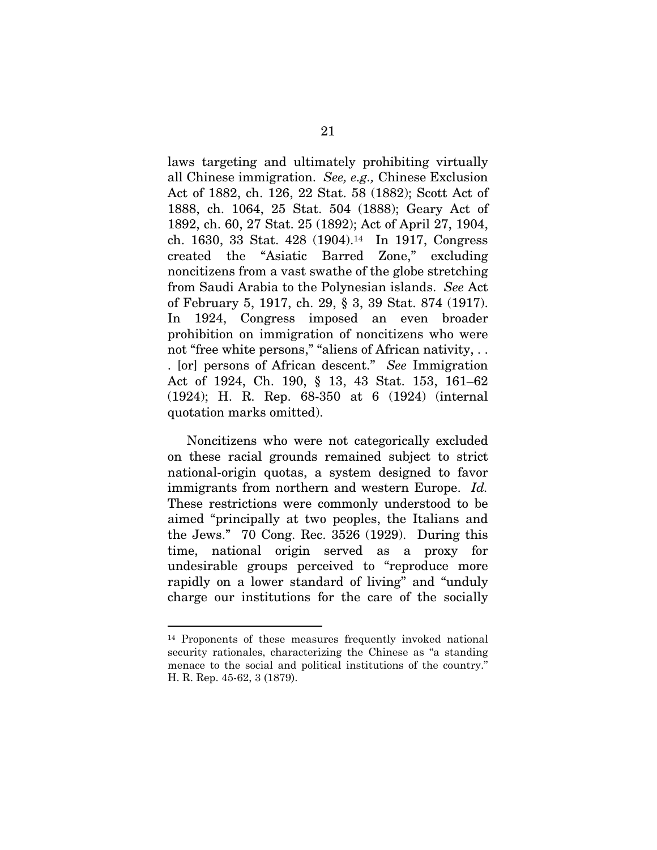laws targeting and ultimately prohibiting virtually all Chinese immigration. *See, e.g.,* Chinese Exclusion Act of 1882, ch. 126, 22 Stat. 58 (1882); Scott Act of 1888, ch. 1064, 25 Stat. 504 (1888); Geary Act of 1892, ch. 60, 27 Stat. 25 (1892); Act of April 27, 1904, ch. 1630, 33 Stat. 428 (1904).<sup>14</sup> In 1917, Congress created the "Asiatic Barred Zone," excluding noncitizens from a vast swathe of the globe stretching from Saudi Arabia to the Polynesian islands. *See* Act of February 5, 1917, ch. 29, § 3, 39 Stat. 874 (1917). In 1924, Congress imposed an even broader prohibition on immigration of noncitizens who were not "free white persons," "aliens of African nativity, . . . [or] persons of African descent." *See* Immigration Act of 1924, Ch. 190, § 13, 43 Stat. 153, 161–62 (1924); H. R. Rep. 68-350 at 6 (1924) (internal quotation marks omitted).

Noncitizens who were not categorically excluded on these racial grounds remained subject to strict national-origin quotas, a system designed to favor immigrants from northern and western Europe. *Id.* These restrictions were commonly understood to be aimed "principally at two peoples, the Italians and the Jews." 70 Cong. Rec. 3526 (1929). During this time, national origin served as a proxy for undesirable groups perceived to "reproduce more rapidly on a lower standard of living" and "unduly charge our institutions for the care of the socially

<sup>14</sup> Proponents of these measures frequently invoked national security rationales, characterizing the Chinese as "a standing menace to the social and political institutions of the country." H. R. Rep. 45-62, 3 (1879).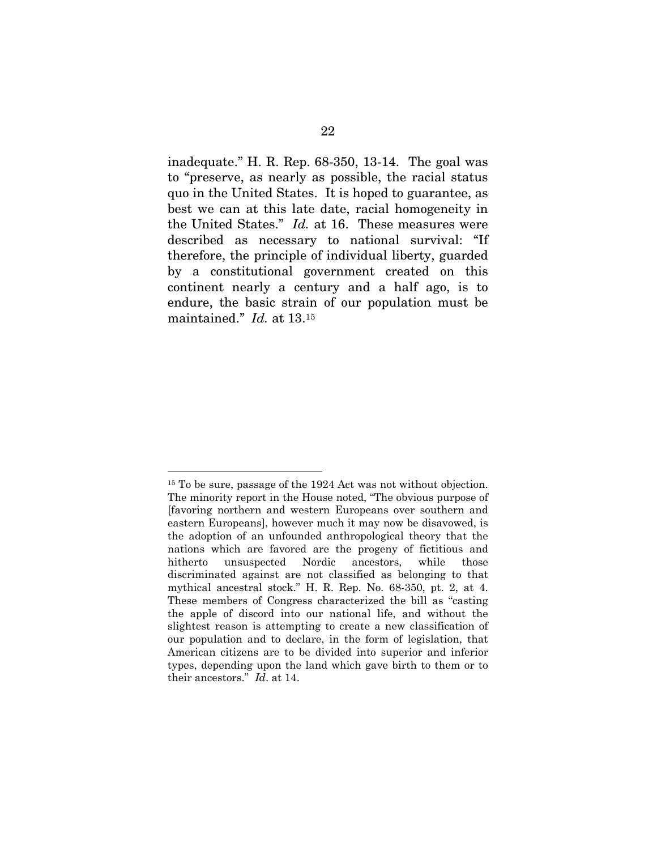inadequate." H. R. Rep. 68-350, 13-14. The goal was to "preserve, as nearly as possible, the racial status quo in the United States. It is hoped to guarantee, as best we can at this late date, racial homogeneity in the United States." *Id.* at 16. These measures were described as necessary to national survival: "If therefore, the principle of individual liberty, guarded by a constitutional government created on this continent nearly a century and a half ago, is to endure, the basic strain of our population must be maintained." *Id.* at 13.<sup>15</sup>

 $\overline{a}$ 15 To be sure, passage of the 1924 Act was not without objection. The minority report in the House noted, "The obvious purpose of [favoring northern and western Europeans over southern and eastern Europeans], however much it may now be disavowed, is the adoption of an unfounded anthropological theory that the nations which are favored are the progeny of fictitious and hitherto unsuspected Nordic ancestors, while those discriminated against are not classified as belonging to that mythical ancestral stock." H. R. Rep. No. 68-350, pt. 2, at 4. These members of Congress characterized the bill as "casting the apple of discord into our national life, and without the slightest reason is attempting to create a new classification of our population and to declare, in the form of legislation, that American citizens are to be divided into superior and inferior types, depending upon the land which gave birth to them or to their ancestors." *Id*. at 14.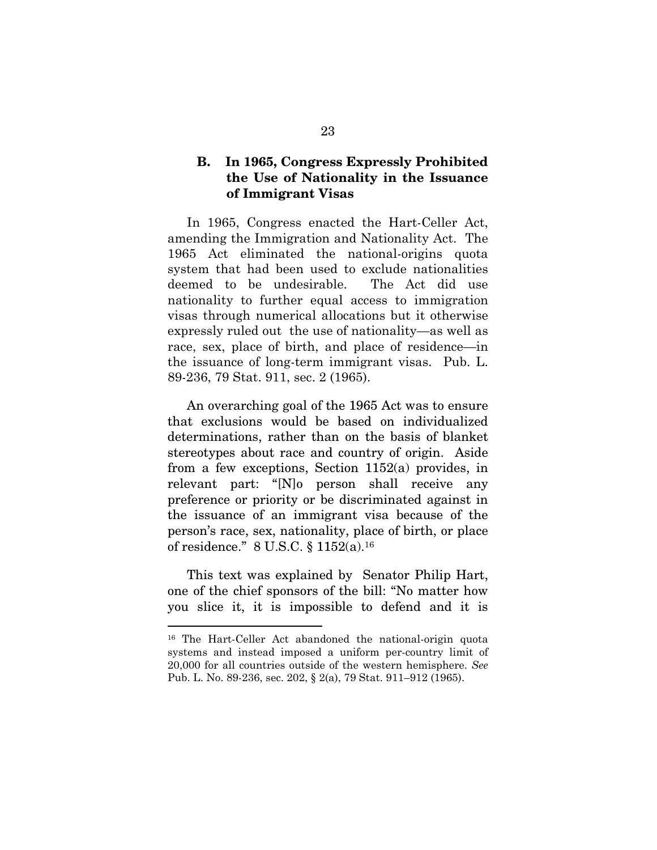## B. In 1965, Congress Expressly Prohibited the Use of Nationality in the Issuance of Immigrant Visas

In 1965, Congress enacted the Hart-Celler Act, amending the Immigration and Nationality Act. The 1965 Act eliminated the national-origins quota system that had been used to exclude nationalities deemed to be undesirable. The Act did use nationality to further equal access to immigration visas through numerical allocations but it otherwise expressly ruled out the use of nationality—as well as race, sex, place of birth, and place of residence—in the issuance of long-term immigrant visas. Pub. L. 89-236, 79 Stat. 911, sec. 2 (1965).

An overarching goal of the 1965 Act was to ensure that exclusions would be based on individualized determinations, rather than on the basis of blanket stereotypes about race and country of origin. Aside from a few exceptions, Section 1152(a) provides, in relevant part: "[N]o person shall receive any preference or priority or be discriminated against in the issuance of an immigrant visa because of the person's race, sex, nationality, place of birth, or place of residence." 8 U.S.C. § 1152(a).<sup>16</sup>

This text was explained by Senator Philip Hart, one of the chief sponsors of the bill: "No matter how you slice it, it is impossible to defend and it is

<sup>16</sup> The Hart-Celler Act abandoned the national-origin quota systems and instead imposed a uniform per-country limit of 20,000 for all countries outside of the western hemisphere. *See* Pub. L. No. 89-236, sec. 202, § 2(a), 79 Stat. 911–912 (1965).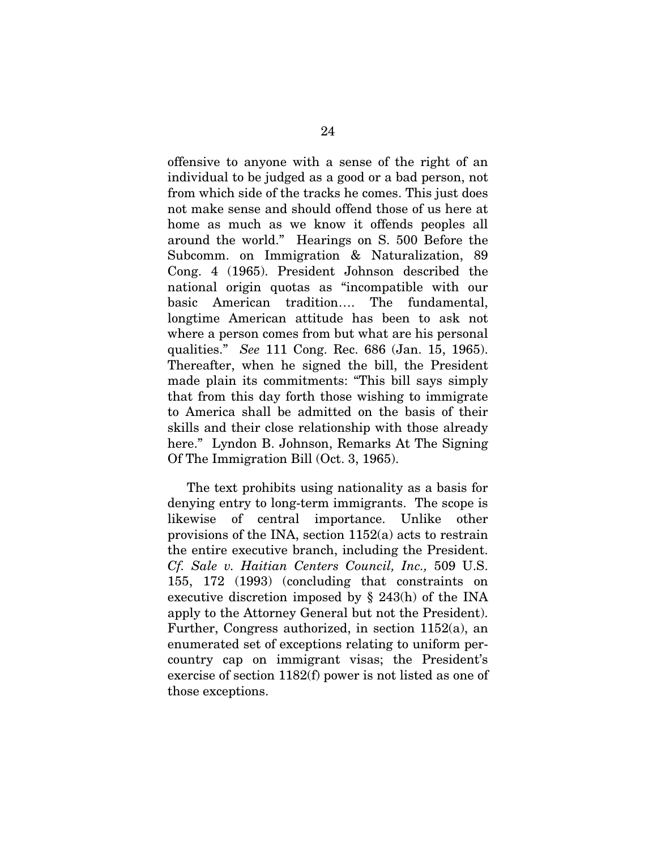offensive to anyone with a sense of the right of an individual to be judged as a good or a bad person, not from which side of the tracks he comes. This just does not make sense and should offend those of us here at home as much as we know it offends peoples all around the world." Hearings on S. 500 Before the Subcomm. on Immigration & Naturalization, 89 Cong. 4 (1965). President Johnson described the national origin quotas as "incompatible with our basic American tradition…. The fundamental, longtime American attitude has been to ask not where a person comes from but what are his personal qualities." *See* 111 Cong. Rec. 686 (Jan. 15, 1965). Thereafter, when he signed the bill, the President made plain its commitments: "This bill says simply that from this day forth those wishing to immigrate to America shall be admitted on the basis of their skills and their close relationship with those already here." Lyndon B. Johnson, Remarks At The Signing Of The Immigration Bill (Oct. 3, 1965).

The text prohibits using nationality as a basis for denying entry to long-term immigrants. The scope is likewise of central importance. Unlike other provisions of the INA, section 1152(a) acts to restrain the entire executive branch, including the President. *Cf. Sale v. Haitian Centers Council, Inc.,* 509 U.S. 155, 172 (1993) (concluding that constraints on executive discretion imposed by § 243(h) of the INA apply to the Attorney General but not the President). Further, Congress authorized, in section 1152(a), an enumerated set of exceptions relating to uniform percountry cap on immigrant visas; the President's exercise of section 1182(f) power is not listed as one of those exceptions.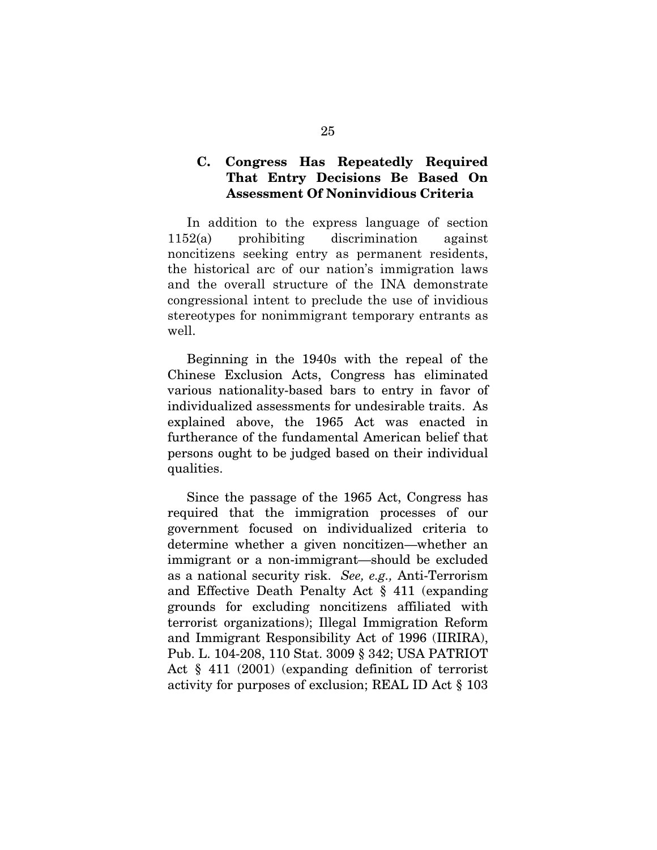## C. Congress Has Repeatedly Required That Entry Decisions Be Based On Assessment Of Noninvidious Criteria

In addition to the express language of section 1152(a) prohibiting discrimination against noncitizens seeking entry as permanent residents, the historical arc of our nation's immigration laws and the overall structure of the INA demonstrate congressional intent to preclude the use of invidious stereotypes for nonimmigrant temporary entrants as well.

Beginning in the 1940s with the repeal of the Chinese Exclusion Acts, Congress has eliminated various nationality-based bars to entry in favor of individualized assessments for undesirable traits. As explained above, the 1965 Act was enacted in furtherance of the fundamental American belief that persons ought to be judged based on their individual qualities.

Since the passage of the 1965 Act, Congress has required that the immigration processes of our government focused on individualized criteria to determine whether a given noncitizen—whether an immigrant or a non-immigrant—should be excluded as a national security risk. *See, e.g.,* Anti-Terrorism and Effective Death Penalty Act § 411 (expanding grounds for excluding noncitizens affiliated with terrorist organizations); Illegal Immigration Reform and Immigrant Responsibility Act of 1996 (IIRIRA), Pub. L. 104-208, 110 Stat. 3009 § 342; USA PATRIOT Act § 411 (2001) (expanding definition of terrorist activity for purposes of exclusion; REAL ID Act § 103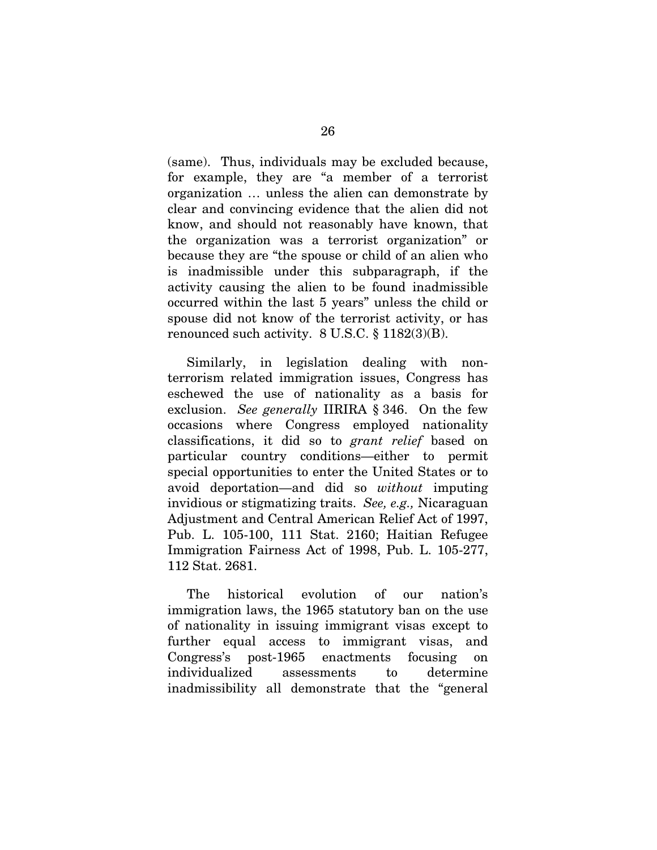(same). Thus, individuals may be excluded because, for example, they are "a member of a terrorist organization … unless the alien can demonstrate by clear and convincing evidence that the alien did not know, and should not reasonably have known, that the organization was a terrorist organization" or because they are "the spouse or child of an alien who is inadmissible under this subparagraph, if the activity causing the alien to be found inadmissible occurred within the last 5 years" unless the child or spouse did not know of the terrorist activity, or has renounced such activity. 8 U.S.C. § 1182(3)(B).

Similarly, in legislation dealing with nonterrorism related immigration issues, Congress has eschewed the use of nationality as a basis for exclusion. *See generally* IIRIRA § 346. On the few occasions where Congress employed nationality classifications, it did so to *grant relief* based on particular country conditions—either to permit special opportunities to enter the United States or to avoid deportation—and did so *without* imputing invidious or stigmatizing traits. *See, e.g.,* Nicaraguan Adjustment and Central American Relief Act of 1997, Pub. L. 105-100, 111 Stat. 2160; Haitian Refugee Immigration Fairness Act of 1998, Pub. L. 105-277, 112 Stat. 2681.

The historical evolution of our nation's immigration laws, the 1965 statutory ban on the use of nationality in issuing immigrant visas except to further equal access to immigrant visas, and Congress's post-1965 enactments focusing on individualized assessments to determine inadmissibility all demonstrate that the "general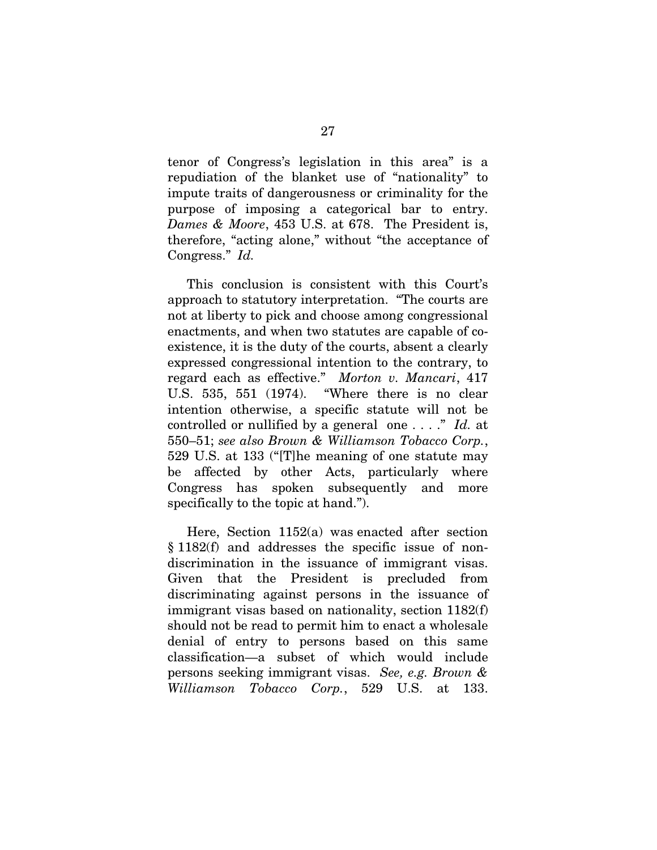tenor of Congress's legislation in this area" is a repudiation of the blanket use of "nationality" to impute traits of dangerousness or criminality for the purpose of imposing a categorical bar to entry. *Dames & Moore*, 453 U.S. at 678. The President is, therefore, "acting alone," without "the acceptance of Congress." *Id.*

This conclusion is consistent with this Court's approach to statutory interpretation. "The courts are not at liberty to pick and choose among congressional enactments, and when two statutes are capable of coexistence, it is the duty of the courts, absent a clearly expressed congressional intention to the contrary, to regard each as effective." *Morton v. Mancari*, 417 U.S. 535, 551 (1974). "Where there is no clear intention otherwise, a specific statute will not be controlled or nullified by a general one . . . ." *Id.* at 550–51; *see also Brown & Williamson Tobacco Corp.*, 529 U.S. at 133 ("[T]he meaning of one statute may be affected by other Acts, particularly where Congress has spoken subsequently and more specifically to the topic at hand.").

Here, Section 1152(a) was enacted after section § 1182(f) and addresses the specific issue of nondiscrimination in the issuance of immigrant visas. Given that the President is precluded from discriminating against persons in the issuance of immigrant visas based on nationality, section 1182(f) should not be read to permit him to enact a wholesale denial of entry to persons based on this same classification—a subset of which would include persons seeking immigrant visas. *See, e.g. Brown & Williamson Tobacco Corp.*, 529 U.S. at 133.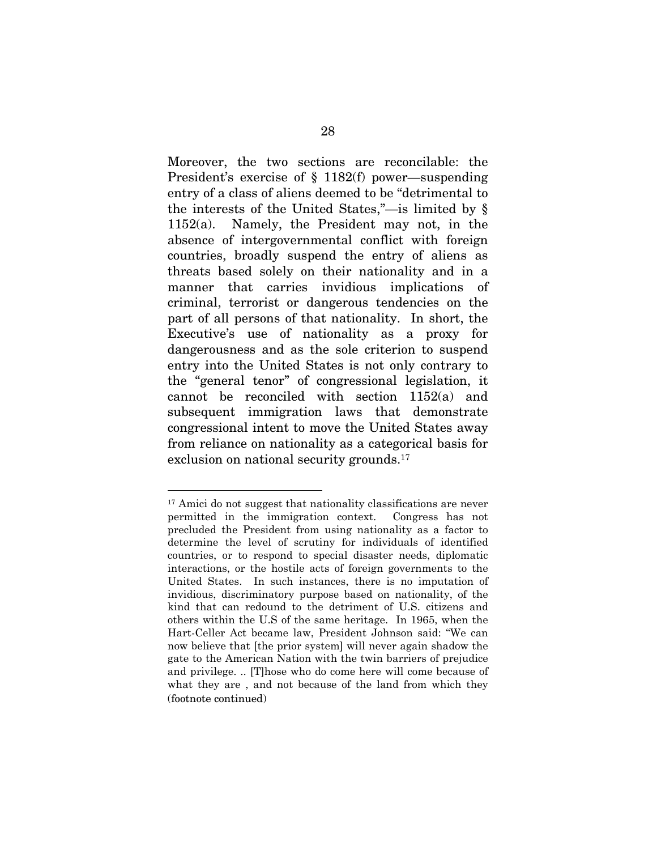Moreover, the two sections are reconcilable: the President's exercise of § 1182(f) power—suspending entry of a class of aliens deemed to be "detrimental to the interests of the United States,"—is limited by § 1152(a). Namely, the President may not, in the absence of intergovernmental conflict with foreign countries, broadly suspend the entry of aliens as threats based solely on their nationality and in a manner that carries invidious implications of criminal, terrorist or dangerous tendencies on the part of all persons of that nationality. In short, the Executive's use of nationality as a proxy for dangerousness and as the sole criterion to suspend entry into the United States is not only contrary to the "general tenor" of congressional legislation, it cannot be reconciled with section 1152(a) and subsequent immigration laws that demonstrate congressional intent to move the United States away from reliance on nationality as a categorical basis for exclusion on national security grounds.<sup>17</sup>

<sup>17</sup> Amici do not suggest that nationality classifications are never permitted in the immigration context. Congress has not precluded the President from using nationality as a factor to determine the level of scrutiny for individuals of identified countries, or to respond to special disaster needs, diplomatic interactions, or the hostile acts of foreign governments to the United States. In such instances, there is no imputation of invidious, discriminatory purpose based on nationality, of the kind that can redound to the detriment of U.S. citizens and others within the U.S of the same heritage. In 1965, when the Hart-Celler Act became law, President Johnson said: "We can now believe that [the prior system] will never again shadow the gate to the American Nation with the twin barriers of prejudice and privilege. .. [T]hose who do come here will come because of what they are , and not because of the land from which they (footnote continued)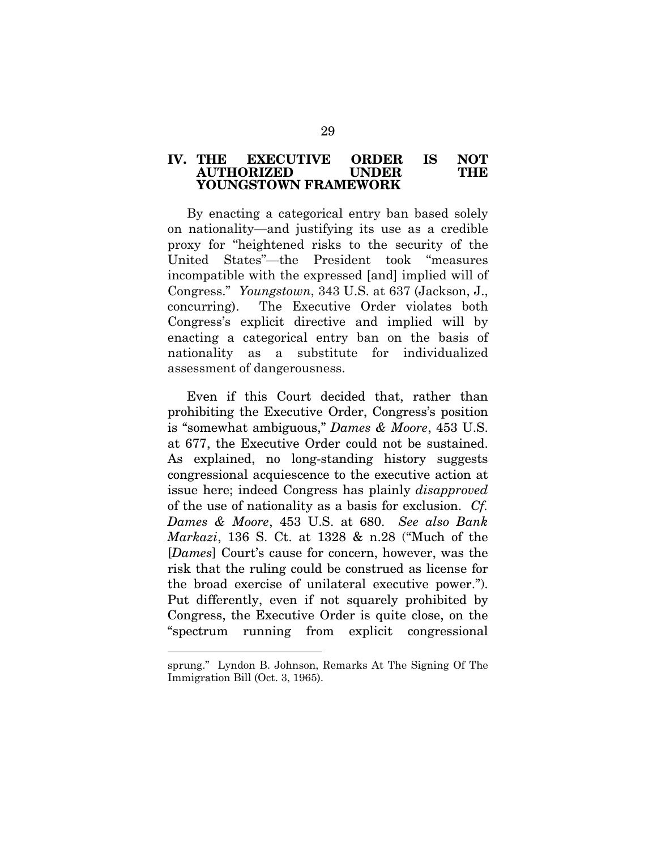#### IV. THE EXECUTIVE ORDER IS NOT AUTHORIZED UNDER YOUNGSTOWN FRAMEWORK

By enacting a categorical entry ban based solely on nationality—and justifying its use as a credible proxy for "heightened risks to the security of the United States"—the President took "measures incompatible with the expressed [and] implied will of Congress." *Youngstown*, 343 U.S. at 637 (Jackson, J., concurring). The Executive Order violates both Congress's explicit directive and implied will by enacting a categorical entry ban on the basis of nationality as a substitute for individualized assessment of dangerousness.

Even if this Court decided that, rather than prohibiting the Executive Order, Congress's position is "somewhat ambiguous," *Dames & Moore*, 453 U.S. at 677, the Executive Order could not be sustained. As explained, no long-standing history suggests congressional acquiescence to the executive action at issue here; indeed Congress has plainly *disapproved* of the use of nationality as a basis for exclusion. *Cf. Dames & Moore*, 453 U.S. at 680. *See also Bank Markazi*, 136 S. Ct. at 1328 & n.28 ("Much of the [*Dames*] Court's cause for concern, however, was the risk that the ruling could be construed as license for the broad exercise of unilateral executive power."). Put differently, even if not squarely prohibited by Congress, the Executive Order is quite close, on the "spectrum running from explicit congressional

sprung." Lyndon B. Johnson, Remarks At The Signing Of The Immigration Bill (Oct. 3, 1965).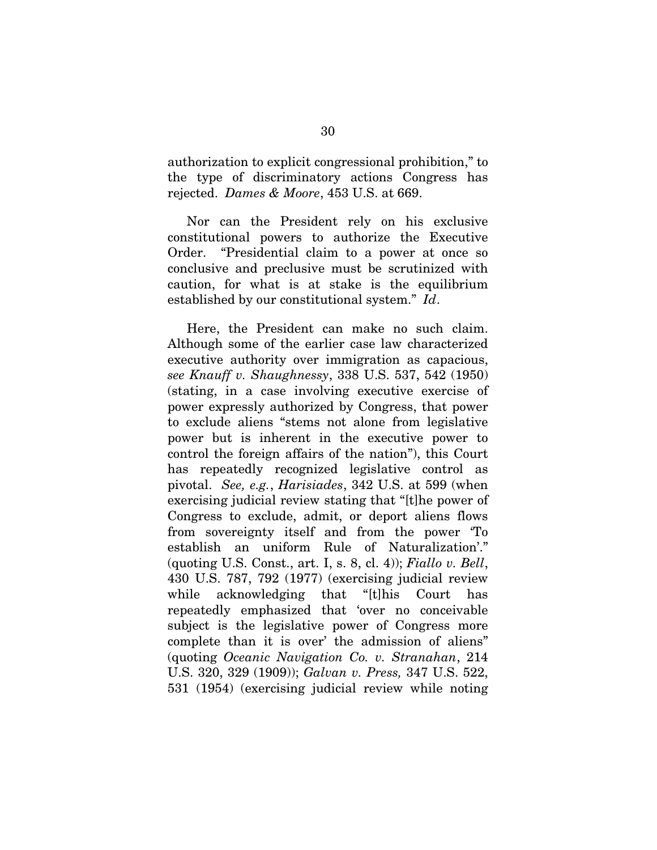authorization to explicit congressional prohibition," to the type of discriminatory actions Congress has rejected. *Dames & Moore*, 453 U.S. at 669.

Nor can the President rely on his exclusive constitutional powers to authorize the Executive Order. "Presidential claim to a power at once so conclusive and preclusive must be scrutinized with caution, for what is at stake is the equilibrium established by our constitutional system." *Id*.

Here, the President can make no such claim. Although some of the earlier case law characterized executive authority over immigration as capacious, *see Knauff v. Shaughnessy*, 338 U.S. 537, 542 (1950) (stating, in a case involving executive exercise of power expressly authorized by Congress, that power to exclude aliens "stems not alone from legislative power but is inherent in the executive power to control the foreign affairs of the nation"), this Court has repeatedly recognized legislative control as pivotal. *See, e.g.*, *Harisiades*, 342 U.S. at 599 (when exercising judicial review stating that "[t]he power of Congress to exclude, admit, or deport aliens flows from sovereignty itself and from the power 'To establish an uniform Rule of Naturalization'." (quoting U.S. Const., art. I, s. 8, cl. 4)); *Fiallo v. Bell*, 430 U.S. 787, 792 (1977) (exercising judicial review while acknowledging that "[t]his Court has repeatedly emphasized that 'over no conceivable subject is the legislative power of Congress more complete than it is over' the admission of aliens" (quoting *Oceanic Navigation Co. v. Stranahan*, 214 U.S. 320, 329 (1909)); *Galvan v. Press,* 347 U.S. 522, 531 (1954) (exercising judicial review while noting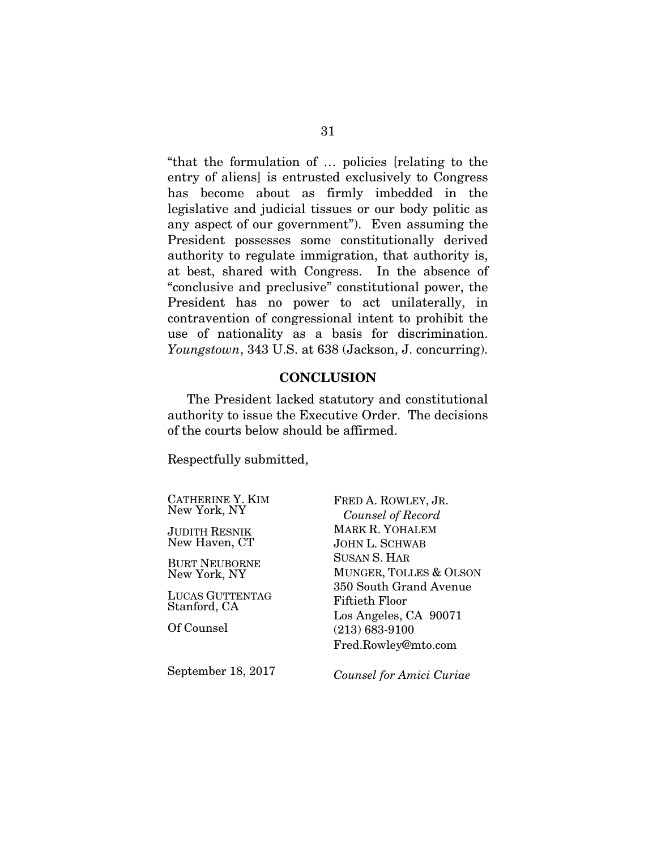"that the formulation of … policies [relating to the entry of aliens] is entrusted exclusively to Congress has become about as firmly imbedded in the legislative and judicial tissues or our body politic as any aspect of our government"). Even assuming the President possesses some constitutionally derived authority to regulate immigration, that authority is, at best, shared with Congress. In the absence of "conclusive and preclusive" constitutional power, the President has no power to act unilaterally, in contravention of congressional intent to prohibit the use of nationality as a basis for discrimination. *Youngstown*, 343 U.S. at 638 (Jackson, J. concurring).

#### **CONCLUSION**

The President lacked statutory and constitutional authority to issue the Executive Order. The decisions of the courts below should be affirmed.

Respectfully submitted,

CATHERINE Y. KIM New York, NY

JUDITH RESNIK New Haven, CT

BURT NEUBORNE New York, NY

LUCAS GUTTENTAG Stanford, CA

Of Counsel

September 18, 2017

FRED A. ROWLEY, JR.  *Counsel of Record*  MARK R. YOHALEM JOHN L. SCHWAB SUSAN S. HAR MUNGER, TOLLES & OLSON 350 South Grand Avenue Fiftieth Floor Los Angeles, CA 90071 (213) 683-9100 Fred.Rowley@mto.com

*Counsel for Amici Curiae*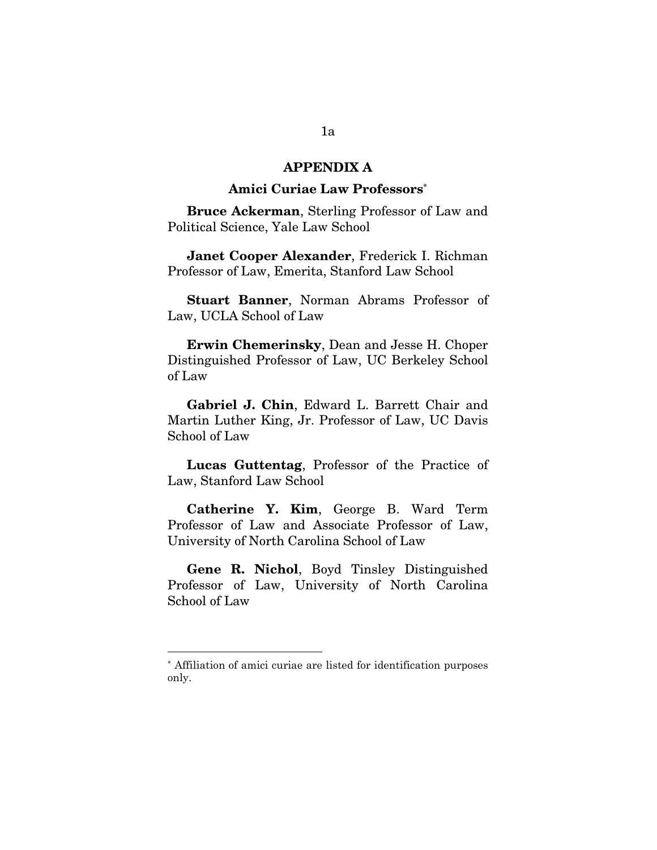## APPENDIX A

#### Amici Curiae Law Professors\*

Bruce Ackerman, Sterling Professor of Law and Political Science, Yale Law School

Janet Cooper Alexander, Frederick I. Richman Professor of Law, Emerita, Stanford Law School

Stuart Banner, Norman Abrams Professor of Law, UCLA School of Law

Erwin Chemerinsky, Dean and Jesse H. Choper Distinguished Professor of Law, UC Berkeley School of Law

Gabriel J. Chin, Edward L. Barrett Chair and Martin Luther King, Jr. Professor of Law, UC Davis School of Law

Lucas Guttentag, Professor of the Practice of Law, Stanford Law School

Catherine Y. Kim, George B. Ward Term Professor of Law and Associate Professor of Law, University of North Carolina School of Law

Gene R. Nichol, Boyd Tinsley Distinguished Professor of Law, University of North Carolina School of Law

<sup>\*</sup> Affiliation of amici curiae are listed for identification purposes only.